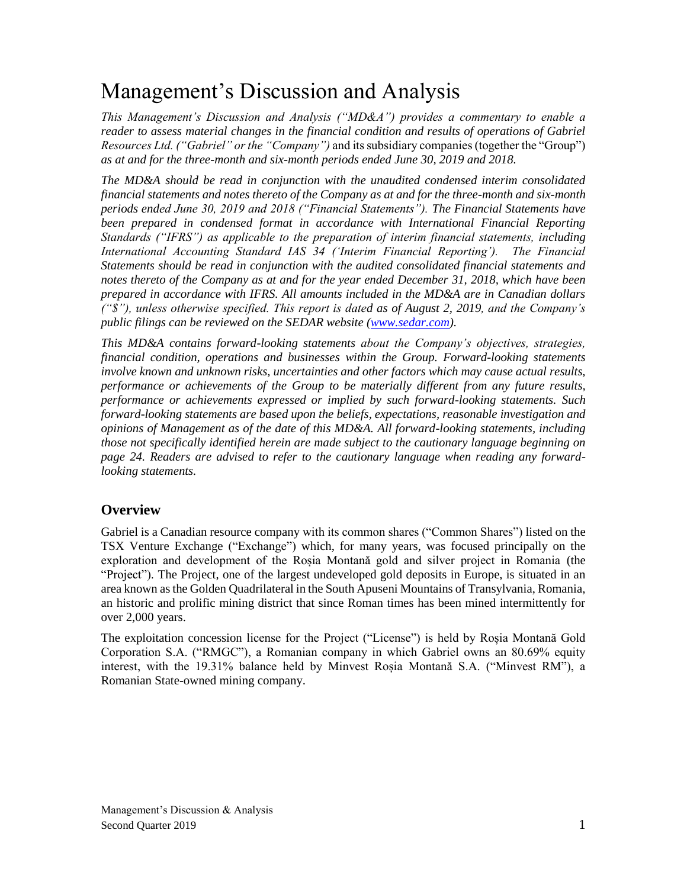# Management's Discussion and Analysis

*This Management's Discussion and Analysis ("MD&A") provides a commentary to enable a reader to assess material changes in the financial condition and results of operations of Gabriel Resources Ltd. ("Gabriel" or the "Company")* and its subsidiary companies (together the "Group") *as at and for the three-month and six-month periods ended June 30, 2019 and 2018.*

*The MD&A should be read in conjunction with the unaudited condensed interim consolidated financial statements and notes thereto of the Company as at and for the three-month and six-month periods ended June 30, 2019 and 2018 ("Financial Statements"). The Financial Statements have*  been prepared in condensed format in accordance with International Financial Reporting *Standards ("IFRS") as applicable to the preparation of interim financial statements, including International Accounting Standard IAS 34 ('Interim Financial Reporting'). The Financial Statements should be read in conjunction with the audited consolidated financial statements and notes thereto of the Company as at and for the year ended December 31, 2018, which have been prepared in accordance with IFRS. All amounts included in the MD&A are in Canadian dollars ("\$"), unless otherwise specified. This report is dated as of August 2, 2019, and the Company's public filings can be reviewed on the SEDAR website [\(www.sedar.com\)](http://www.sedar.com/).* 

*This MD&A contains forward-looking statements about the Company's objectives, strategies, financial condition, operations and businesses within the Group. Forward-looking statements involve known and unknown risks, uncertainties and other factors which may cause actual results, performance or achievements of the Group to be materially different from any future results, performance or achievements expressed or implied by such forward-looking statements. Such forward-looking statements are based upon the beliefs, expectations, reasonable investigation and opinions of Management as of the date of this MD&A. All forward-looking statements, including those not specifically identified herein are made subject to the cautionary language beginning on page 24. Readers are advised to refer to the cautionary language when reading any forwardlooking statements.*

# **Overview**

Gabriel is a Canadian resource company with its common shares ("Common Shares") listed on the TSX Venture Exchange ("Exchange") which, for many years, was focused principally on the exploration and development of the Roșia Montană gold and silver project in Romania (the "Project"). The Project, one of the largest undeveloped gold deposits in Europe, is situated in an area known as the Golden Quadrilateral in the South Apuseni Mountains of Transylvania, Romania, an historic and prolific mining district that since Roman times has been mined intermittently for over 2,000 years.

The exploitation concession license for the Project ("License") is held by Roșia Montană Gold Corporation S.A. ("RMGC"), a Romanian company in which Gabriel owns an 80.69% equity interest, with the 19.31% balance held by Minvest Roșia Montană S.A. ("Minvest RM"), a Romanian State-owned mining company.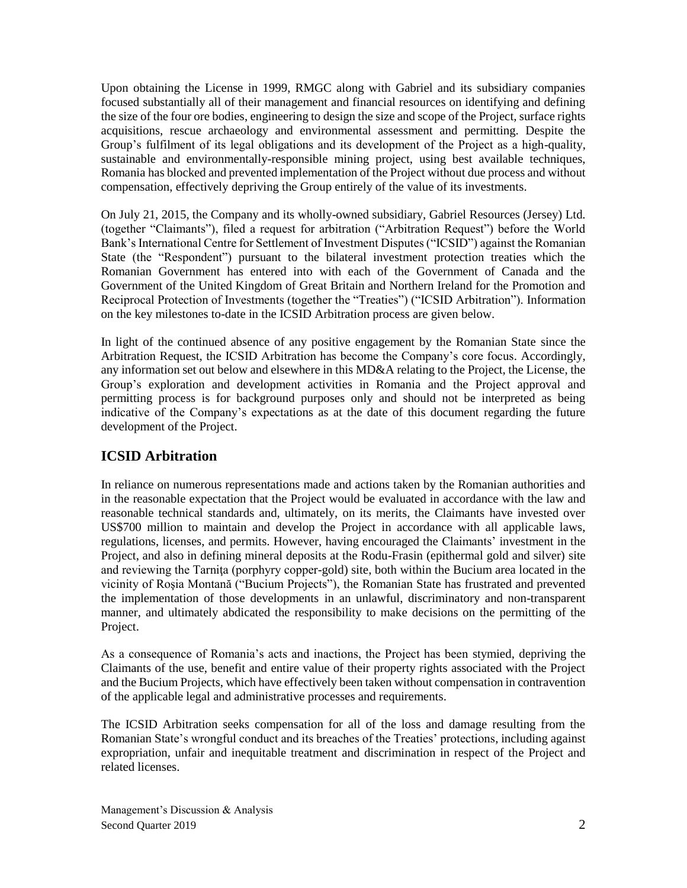Upon obtaining the License in 1999, RMGC along with Gabriel and its subsidiary companies focused substantially all of their management and financial resources on identifying and defining the size of the four ore bodies, engineering to design the size and scope of the Project, surface rights acquisitions, rescue archaeology and environmental assessment and permitting. Despite the Group's fulfilment of its legal obligations and its development of the Project as a high-quality, sustainable and environmentally-responsible mining project, using best available techniques, Romania has blocked and prevented implementation of the Project without due process and without compensation, effectively depriving the Group entirely of the value of its investments.

On July 21, 2015, the Company and its wholly-owned subsidiary, Gabriel Resources (Jersey) Ltd. (together "Claimants"), filed a request for arbitration ("Arbitration Request") before the World Bank's International Centre for Settlement of Investment Disputes ("ICSID") against the Romanian State (the "Respondent") pursuant to the bilateral investment protection treaties which the Romanian Government has entered into with each of the Government of Canada and the Government of the United Kingdom of Great Britain and Northern Ireland for the Promotion and Reciprocal Protection of Investments (together the "Treaties") ("ICSID Arbitration"). Information on the key milestones to-date in the ICSID Arbitration process are given below.

In light of the continued absence of any positive engagement by the Romanian State since the Arbitration Request, the ICSID Arbitration has become the Company's core focus. Accordingly, any information set out below and elsewhere in this MD&A relating to the Project, the License, the Group's exploration and development activities in Romania and the Project approval and permitting process is for background purposes only and should not be interpreted as being indicative of the Company's expectations as at the date of this document regarding the future development of the Project.

# **ICSID Arbitration**

In reliance on numerous representations made and actions taken by the Romanian authorities and in the reasonable expectation that the Project would be evaluated in accordance with the law and reasonable technical standards and, ultimately, on its merits, the Claimants have invested over US\$700 million to maintain and develop the Project in accordance with all applicable laws, regulations, licenses, and permits. However, having encouraged the Claimants' investment in the Project, and also in defining mineral deposits at the Rodu-Frasin (epithermal gold and silver) site and reviewing the Tarniţa (porphyry copper-gold) site, both within the Bucium area located in the vicinity of Roşia Montană ("Bucium Projects"), the Romanian State has frustrated and prevented the implementation of those developments in an unlawful, discriminatory and non-transparent manner, and ultimately abdicated the responsibility to make decisions on the permitting of the Project.

As a consequence of Romania's acts and inactions, the Project has been stymied, depriving the Claimants of the use, benefit and entire value of their property rights associated with the Project and the Bucium Projects, which have effectively been taken without compensation in contravention of the applicable legal and administrative processes and requirements.

The ICSID Arbitration seeks compensation for all of the loss and damage resulting from the Romanian State's wrongful conduct and its breaches of the Treaties' protections, including against expropriation, unfair and inequitable treatment and discrimination in respect of the Project and related licenses.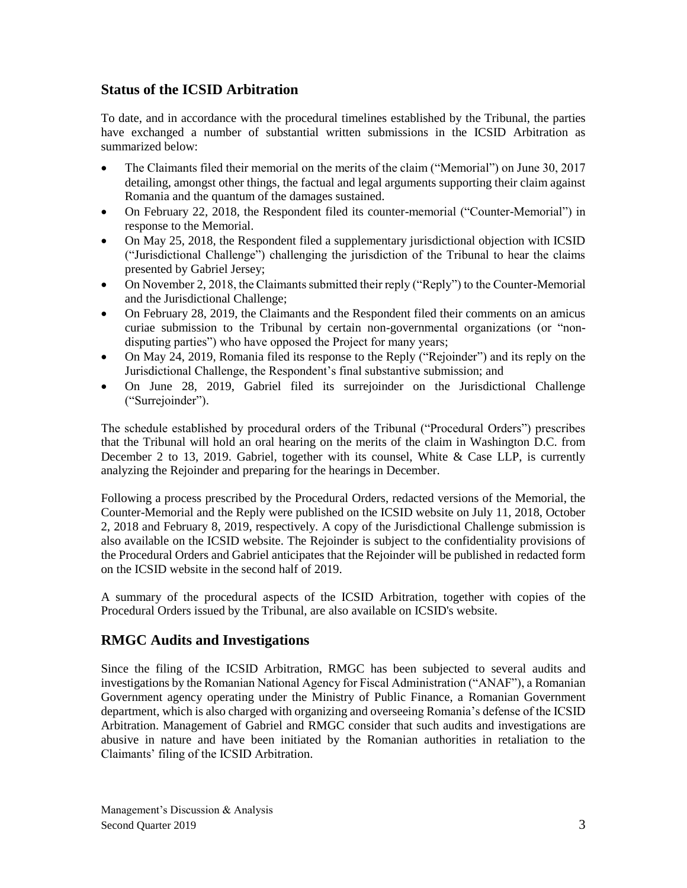## **Status of the ICSID Arbitration**

To date, and in accordance with the procedural timelines established by the Tribunal, the parties have exchanged a number of substantial written submissions in the ICSID Arbitration as summarized below:

- The Claimants filed their memorial on the merits of the claim ("Memorial") on June 30, 2017 detailing, amongst other things, the factual and legal arguments supporting their claim against Romania and the quantum of the damages sustained.
- On February 22, 2018, the Respondent filed its counter-memorial ("Counter-Memorial") in response to the Memorial.
- On May 25, 2018, the Respondent filed a supplementary jurisdictional objection with ICSID ("Jurisdictional Challenge") challenging the jurisdiction of the Tribunal to hear the claims presented by Gabriel Jersey;
- On November 2, 2018, the Claimants submitted their reply ("Reply") to the Counter-Memorial and the Jurisdictional Challenge;
- On February 28, 2019, the Claimants and the Respondent filed their comments on an amicus curiae submission to the Tribunal by certain non-governmental organizations (or "nondisputing parties") who have opposed the Project for many years;
- On May 24, 2019, Romania filed its response to the Reply ("Rejoinder") and its reply on the Jurisdictional Challenge, the Respondent's final substantive submission; and
- On June 28, 2019, Gabriel filed its surrejoinder on the Jurisdictional Challenge ("Surrejoinder").

The schedule established by procedural orders of the Tribunal ("Procedural Orders") prescribes that the Tribunal will hold an oral hearing on the merits of the claim in Washington D.C. from December 2 to 13, 2019. Gabriel, together with its counsel, White & Case LLP, is currently analyzing the Rejoinder and preparing for the hearings in December.

Following a process prescribed by the Procedural Orders, redacted versions of the Memorial, the Counter-Memorial and the Reply were published on the ICSID website on July 11, 2018, October 2, 2018 and February 8, 2019, respectively. A copy of the Jurisdictional Challenge submission is also available on the ICSID website. The Rejoinder is subject to the confidentiality provisions of the Procedural Orders and Gabriel anticipates that the Rejoinder will be published in redacted form on the ICSID website in the second half of 2019.

A summary of the procedural aspects of the ICSID Arbitration, together with copies of the Procedural Orders issued by the Tribunal, are also available on ICSID's website.

# **RMGC Audits and Investigations**

Since the filing of the ICSID Arbitration, RMGC has been subjected to several audits and investigations by the Romanian National Agency for Fiscal Administration ("ANAF"), a Romanian Government agency operating under the Ministry of Public Finance, a Romanian Government department, which is also charged with organizing and overseeing Romania's defense of the ICSID Arbitration. Management of Gabriel and RMGC consider that such audits and investigations are abusive in nature and have been initiated by the Romanian authorities in retaliation to the Claimants' filing of the ICSID Arbitration.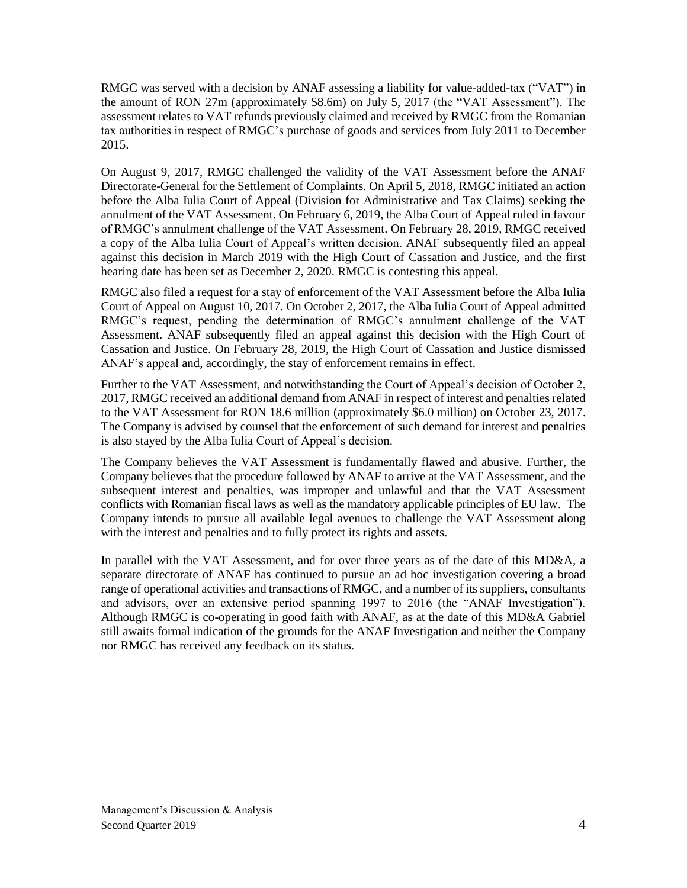RMGC was served with a decision by ANAF assessing a liability for value-added-tax ("VAT") in the amount of RON 27m (approximately \$8.6m) on July 5, 2017 (the "VAT Assessment"). The assessment relates to VAT refunds previously claimed and received by RMGC from the Romanian tax authorities in respect of RMGC's purchase of goods and services from July 2011 to December 2015.

On August 9, 2017, RMGC challenged the validity of the VAT Assessment before the ANAF Directorate-General for the Settlement of Complaints. On April 5, 2018, RMGC initiated an action before the Alba Iulia Court of Appeal (Division for Administrative and Tax Claims) seeking the annulment of the VAT Assessment. On February 6, 2019, the Alba Court of Appeal ruled in favour of RMGC's annulment challenge of the VAT Assessment. On February 28, 2019, RMGC received a copy of the Alba Iulia Court of Appeal's written decision. ANAF subsequently filed an appeal against this decision in March 2019 with the High Court of Cassation and Justice, and the first hearing date has been set as December 2, 2020. RMGC is contesting this appeal.

RMGC also filed a request for a stay of enforcement of the VAT Assessment before the Alba Iulia Court of Appeal on August 10, 2017. On October 2, 2017, the Alba Iulia Court of Appeal admitted RMGC's request, pending the determination of RMGC's annulment challenge of the VAT Assessment. ANAF subsequently filed an appeal against this decision with the High Court of Cassation and Justice. On February 28, 2019, the High Court of Cassation and Justice dismissed ANAF's appeal and, accordingly, the stay of enforcement remains in effect.

Further to the VAT Assessment, and notwithstanding the Court of Appeal's decision of October 2, 2017, RMGC received an additional demand from ANAF in respect of interest and penalties related to the VAT Assessment for RON 18.6 million (approximately \$6.0 million) on October 23, 2017. The Company is advised by counsel that the enforcement of such demand for interest and penalties is also stayed by the Alba Iulia Court of Appeal's decision.

The Company believes the VAT Assessment is fundamentally flawed and abusive. Further, the Company believes that the procedure followed by ANAF to arrive at the VAT Assessment, and the subsequent interest and penalties, was improper and unlawful and that the VAT Assessment conflicts with Romanian fiscal laws as well as the mandatory applicable principles of EU law. The Company intends to pursue all available legal avenues to challenge the VAT Assessment along with the interest and penalties and to fully protect its rights and assets.

In parallel with the VAT Assessment, and for over three years as of the date of this MD&A, a separate directorate of ANAF has continued to pursue an ad hoc investigation covering a broad range of operational activities and transactions of RMGC, and a number of its suppliers, consultants and advisors, over an extensive period spanning 1997 to 2016 (the "ANAF Investigation"). Although RMGC is co-operating in good faith with ANAF, as at the date of this MD&A Gabriel still awaits formal indication of the grounds for the ANAF Investigation and neither the Company nor RMGC has received any feedback on its status.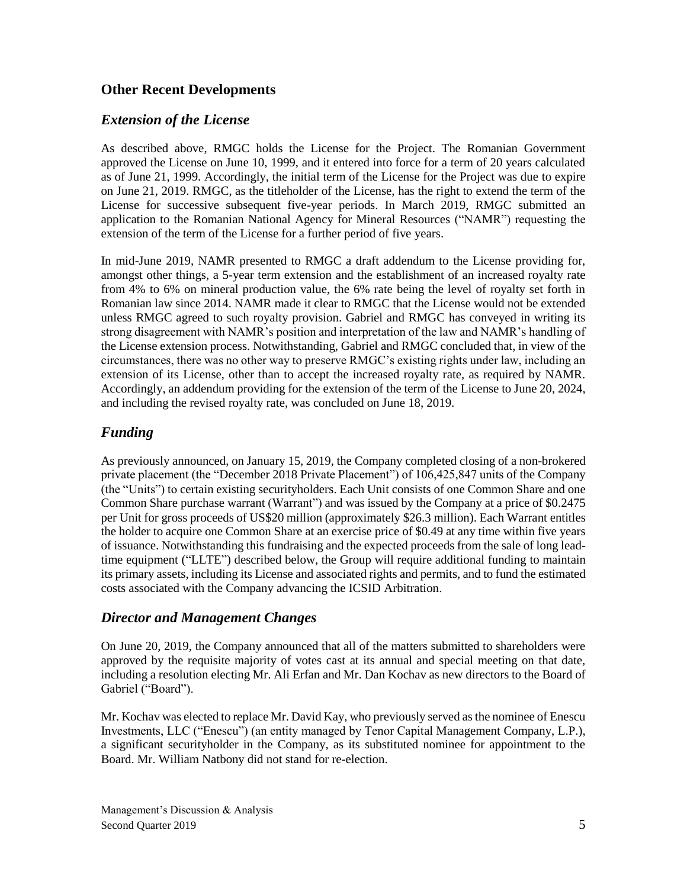## **Other Recent Developments**

## *Extension of the License*

As described above, RMGC holds the License for the Project. The Romanian Government approved the License on June 10, 1999, and it entered into force for a term of 20 years calculated as of June 21, 1999. Accordingly, the initial term of the License for the Project was due to expire on June 21, 2019. RMGC, as the titleholder of the License, has the right to extend the term of the License for successive subsequent five-year periods. In March 2019, RMGC submitted an application to the Romanian National Agency for Mineral Resources ("NAMR") requesting the extension of the term of the License for a further period of five years.

In mid-June 2019, NAMR presented to RMGC a draft addendum to the License providing for, amongst other things, a 5-year term extension and the establishment of an increased royalty rate from 4% to 6% on mineral production value, the 6% rate being the level of royalty set forth in Romanian law since 2014. NAMR made it clear to RMGC that the License would not be extended unless RMGC agreed to such royalty provision. Gabriel and RMGC has conveyed in writing its strong disagreement with NAMR's position and interpretation of the law and NAMR's handling of the License extension process. Notwithstanding, Gabriel and RMGC concluded that, in view of the circumstances, there was no other way to preserve RMGC's existing rights under law, including an extension of its License, other than to accept the increased royalty rate, as required by NAMR. Accordingly, an addendum providing for the extension of the term of the License to June 20, 2024, and including the revised royalty rate, was concluded on June 18, 2019.

# *Funding*

As previously announced, on January 15, 2019, the Company completed closing of a non-brokered private placement (the "December 2018 Private Placement") of 106,425,847 units of the Company (the "Units") to certain existing securityholders. Each Unit consists of one Common Share and one Common Share purchase warrant (Warrant") and was issued by the Company at a price of \$0.2475 per Unit for gross proceeds of US\$20 million (approximately \$26.3 million). Each Warrant entitles the holder to acquire one Common Share at an exercise price of \$0.49 at any time within five years of issuance. Notwithstanding this fundraising and the expected proceeds from the sale of long leadtime equipment ("LLTE") described below, the Group will require additional funding to maintain its primary assets, including its License and associated rights and permits, and to fund the estimated costs associated with the Company advancing the ICSID Arbitration.

# *Director and Management Changes*

On June 20, 2019, the Company announced that all of the matters submitted to shareholders were approved by the requisite majority of votes cast at its annual and special meeting on that date, including a resolution electing Mr. Ali Erfan and Mr. Dan Kochav as new directors to the Board of Gabriel ("Board").

Mr. Kochav was elected to replace Mr. David Kay, who previously served as the nominee of Enescu Investments, LLC ("Enescu") (an entity managed by Tenor Capital Management Company, L.P.), a significant securityholder in the Company, as its substituted nominee for appointment to the Board. Mr. William Natbony did not stand for re-election.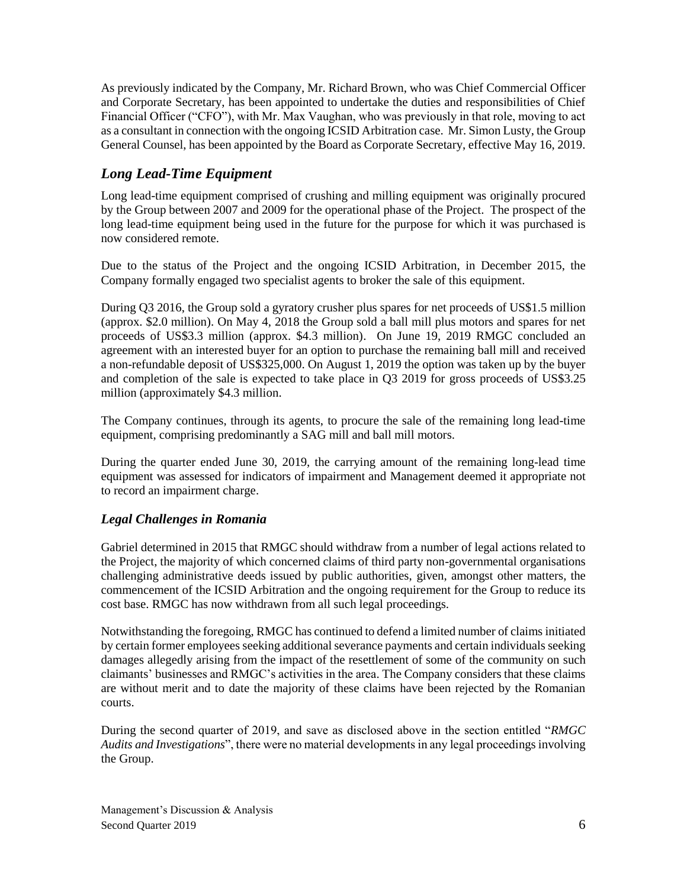As previously indicated by the Company, Mr. Richard Brown, who was Chief Commercial Officer and Corporate Secretary, has been appointed to undertake the duties and responsibilities of Chief Financial Officer ("CFO"), with Mr. Max Vaughan, who was previously in that role, moving to act as a consultant in connection with the ongoing ICSID Arbitration case. Mr. Simon Lusty, the Group General Counsel, has been appointed by the Board as Corporate Secretary, effective May 16, 2019.

# *Long Lead-Time Equipment*

Long lead-time equipment comprised of crushing and milling equipment was originally procured by the Group between 2007 and 2009 for the operational phase of the Project. The prospect of the long lead-time equipment being used in the future for the purpose for which it was purchased is now considered remote.

Due to the status of the Project and the ongoing ICSID Arbitration, in December 2015, the Company formally engaged two specialist agents to broker the sale of this equipment.

During Q3 2016, the Group sold a gyratory crusher plus spares for net proceeds of US\$1.5 million (approx. \$2.0 million). On May 4, 2018 the Group sold a ball mill plus motors and spares for net proceeds of US\$3.3 million (approx. \$4.3 million). On June 19, 2019 RMGC concluded an agreement with an interested buyer for an option to purchase the remaining ball mill and received a non-refundable deposit of US\$325,000. On August 1, 2019 the option was taken up by the buyer and completion of the sale is expected to take place in Q3 2019 for gross proceeds of US\$3.25 million (approximately \$4.3 million.

The Company continues, through its agents, to procure the sale of the remaining long lead-time equipment, comprising predominantly a SAG mill and ball mill motors.

During the quarter ended June 30, 2019, the carrying amount of the remaining long-lead time equipment was assessed for indicators of impairment and Management deemed it appropriate not to record an impairment charge.

## *Legal Challenges in Romania*

Gabriel determined in 2015 that RMGC should withdraw from a number of legal actions related to the Project, the majority of which concerned claims of third party non-governmental organisations challenging administrative deeds issued by public authorities, given, amongst other matters, the commencement of the ICSID Arbitration and the ongoing requirement for the Group to reduce its cost base. RMGC has now withdrawn from all such legal proceedings.

Notwithstanding the foregoing, RMGC has continued to defend a limited number of claims initiated by certain former employees seeking additional severance payments and certain individuals seeking damages allegedly arising from the impact of the resettlement of some of the community on such claimants' businesses and RMGC's activities in the area. The Company considers that these claims are without merit and to date the majority of these claims have been rejected by the Romanian courts.

During the second quarter of 2019, and save as disclosed above in the section entitled "*RMGC Audits and Investigations*", there were no material developments in any legal proceedings involving the Group.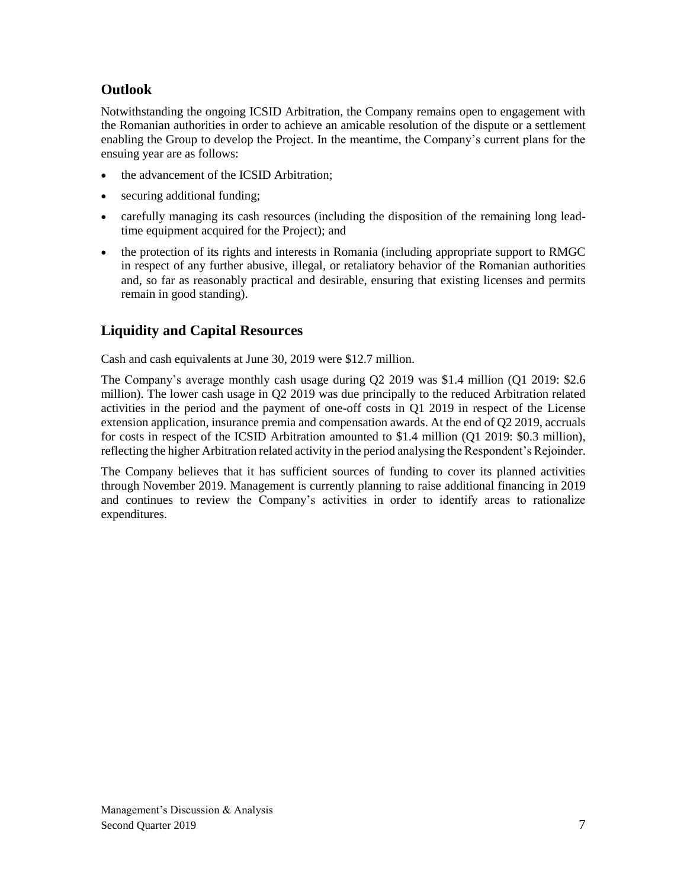# **Outlook**

Notwithstanding the ongoing ICSID Arbitration, the Company remains open to engagement with the Romanian authorities in order to achieve an amicable resolution of the dispute or a settlement enabling the Group to develop the Project. In the meantime, the Company's current plans for the ensuing year are as follows:

- the advancement of the ICSID Arbitration;
- securing additional funding;
- carefully managing its cash resources (including the disposition of the remaining long leadtime equipment acquired for the Project); and
- the protection of its rights and interests in Romania (including appropriate support to RMGC in respect of any further abusive, illegal, or retaliatory behavior of the Romanian authorities and, so far as reasonably practical and desirable, ensuring that existing licenses and permits remain in good standing).

# **Liquidity and Capital Resources**

Cash and cash equivalents at June 30, 2019 were \$12.7 million.

The Company's average monthly cash usage during Q2 2019 was \$1.4 million (Q1 2019: \$2.6 million). The lower cash usage in Q2 2019 was due principally to the reduced Arbitration related activities in the period and the payment of one-off costs in Q1 2019 in respect of the License extension application, insurance premia and compensation awards. At the end of Q2 2019, accruals for costs in respect of the ICSID Arbitration amounted to \$1.4 million (Q1 2019: \$0.3 million), reflecting the higher Arbitration related activity in the period analysing the Respondent's Rejoinder.

The Company believes that it has sufficient sources of funding to cover its planned activities through November 2019. Management is currently planning to raise additional financing in 2019 and continues to review the Company's activities in order to identify areas to rationalize expenditures.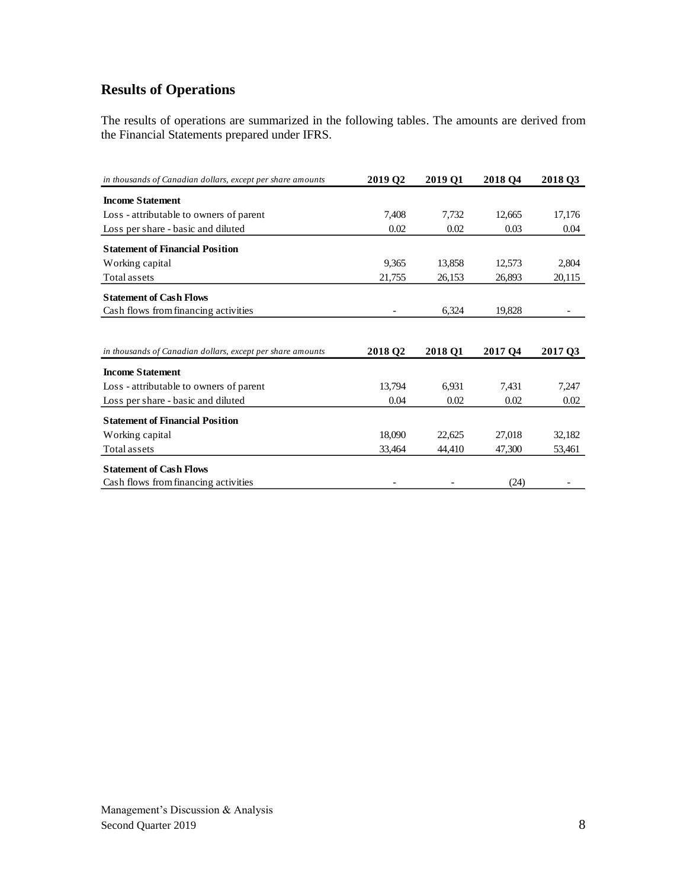# **Results of Operations**

The results of operations are summarized in the following tables. The amounts are derived from the Financial Statements prepared under IFRS.

| in thousands of Canadian dollars, except per share amounts | 2019 Q2 | 2019 Q1 | 2018 Q4 | 2018 Q3 |
|------------------------------------------------------------|---------|---------|---------|---------|
| <b>Income Statement</b>                                    |         |         |         |         |
| Loss - attributable to owners of parent                    | 7,408   | 7,732   | 12,665  | 17,176  |
| Loss per share - basic and diluted                         | 0.02    | 0.02    | 0.03    | 0.04    |
| <b>Statement of Financial Position</b>                     |         |         |         |         |
| Working capital                                            | 9,365   | 13,858  | 12,573  | 2,804   |
| Total assets                                               | 21,755  | 26,153  | 26,893  | 20,115  |
| <b>Statement of Cash Flows</b>                             |         |         |         |         |
| Cash flows from financing activities                       |         | 6,324   | 19,828  |         |
|                                                            |         |         |         |         |
| in thousands of Canadian dollars, except per share amounts | 2018 Q2 | 2018 Q1 | 2017 Q4 | 2017 Q3 |
| <b>Income Statement</b>                                    |         |         |         |         |
| Loss - attributable to owners of parent                    | 13.794  | 6.931   | 7,431   | 7,247   |
| Loss per share - basic and diluted                         | 0.04    | 0.02    | 0.02    | 0.02    |
| <b>Statement of Financial Position</b>                     |         |         |         |         |
| Working capital                                            | 18,090  | 22,625  | 27,018  | 32,182  |
| Total assets                                               | 33,464  | 44,410  | 47,300  | 53,461  |
|                                                            |         |         |         |         |
| <b>Statement of Cash Flows</b>                             |         |         |         |         |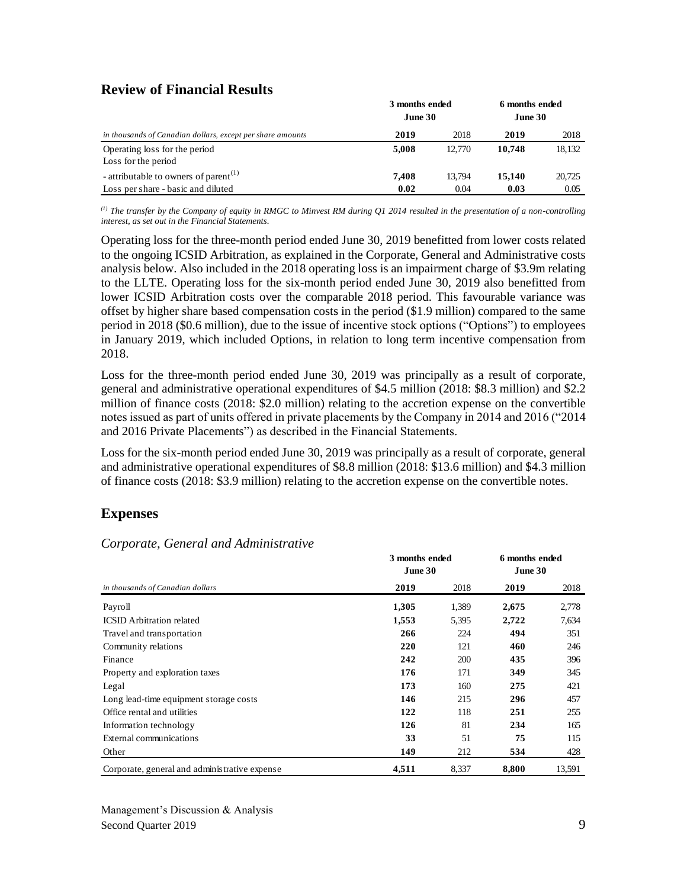## **Review of Financial Results**

|                                                            | 3 months ended<br>June 30 | 6 months ended<br>June 30 |        |        |
|------------------------------------------------------------|---------------------------|---------------------------|--------|--------|
| in thousands of Canadian dollars, except per share amounts | 2019                      | 2018                      | 2019   | 2018   |
| Operating loss for the period<br>Loss for the period       | 5.008                     | 12,770                    | 10,748 | 18,132 |
| - attributable to owners of parent <sup>(1)</sup>          | 7.408                     | 13.794                    | 15.140 | 20,725 |
| Loss per share - basic and diluted                         | 0.02                      | 0.04                      | 0.03   | 0.05   |

*(1) The transfer by the Company of equity in RMGC to Minvest RM during Q1 2014 resulted in the presentation of a non-controlling interest, as set out in the Financial Statements.*

Operating loss for the three-month period ended June 30, 2019 benefitted from lower costs related to the ongoing ICSID Arbitration, as explained in the Corporate, General and Administrative costs analysis below. Also included in the 2018 operating loss is an impairment charge of \$3.9m relating to the LLTE. Operating loss for the six-month period ended June 30, 2019 also benefitted from lower ICSID Arbitration costs over the comparable 2018 period. This favourable variance was offset by higher share based compensation costs in the period (\$1.9 million) compared to the same period in 2018 (\$0.6 million), due to the issue of incentive stock options ("Options") to employees in January 2019, which included Options, in relation to long term incentive compensation from 2018.

Loss for the three-month period ended June 30, 2019 was principally as a result of corporate, general and administrative operational expenditures of \$4.5 million (2018: \$8.3 million) and \$2.2 million of finance costs (2018: \$2.0 million) relating to the accretion expense on the convertible notes issued as part of units offered in private placements by the Company in 2014 and 2016 ("2014 and 2016 Private Placements") as described in the Financial Statements.

Loss for the six-month period ended June 30, 2019 was principally as a result of corporate, general and administrative operational expenditures of \$8.8 million (2018: \$13.6 million) and \$4.3 million of finance costs (2018: \$3.9 million) relating to the accretion expense on the convertible notes.

# **Expenses**

|                                               | 3 months ended<br>June 30 | 6 months ended<br>June 30 |       |        |
|-----------------------------------------------|---------------------------|---------------------------|-------|--------|
| in thousands of Canadian dollars              | 2019                      | 2018                      | 2019  | 2018   |
| Payroll                                       | 1,305                     | 1,389                     | 2,675 | 2,778  |
| <b>ICSID</b> Arbitration related              | 1,553                     | 5,395                     | 2,722 | 7,634  |
| Travel and transportation                     | 266                       | 224                       | 494   | 351    |
| Community relations                           | 220                       | 121                       | 460   | 246    |
| Finance                                       | 242                       | <b>200</b>                | 435   | 396    |
| Property and exploration taxes                | 176                       | 171                       | 349   | 345    |
| Legal                                         | 173                       | 160                       | 275   | 421    |
| Long lead-time equipment storage costs        | 146                       | 215                       | 296   | 457    |
| Office rental and utilities                   | 122                       | 118                       | 251   | 255    |
| Information technology                        | 126                       | 81                        | 234   | 165    |
| External communications                       | 33                        | 51                        | 75    | 115    |
| Other                                         | 149                       | 212                       | 534   | 428    |
| Corporate, general and administrative expense | 4,511                     | 8,337                     | 8,800 | 13,591 |

## *Corporate, General and Administrative*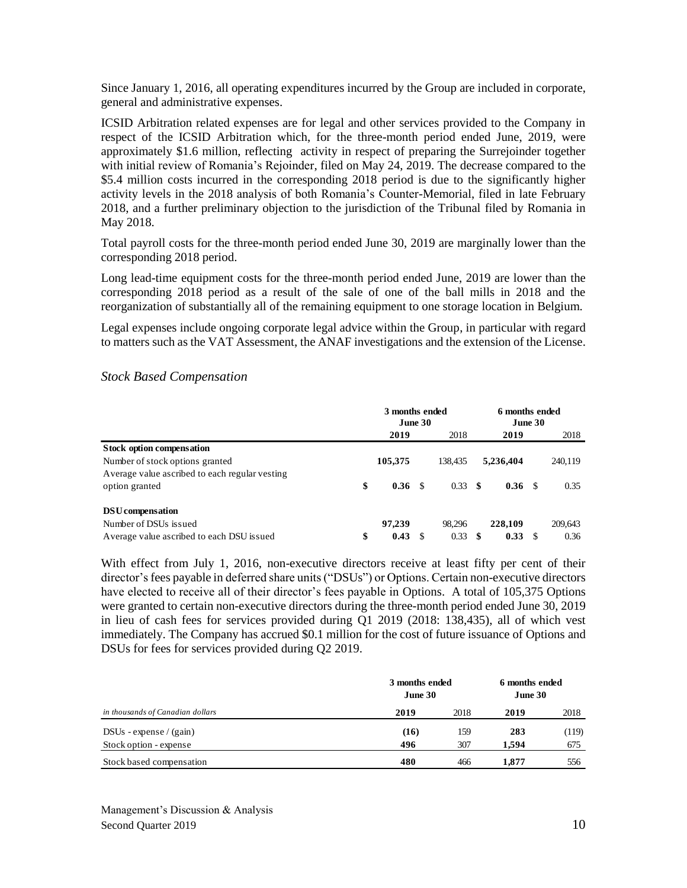Since January 1, 2016, all operating expenditures incurred by the Group are included in corporate, general and administrative expenses.

ICSID Arbitration related expenses are for legal and other services provided to the Company in respect of the ICSID Arbitration which, for the three-month period ended June, 2019, were approximately \$1.6 million, reflecting activity in respect of preparing the Surrejoinder together with initial review of Romania's Rejoinder, filed on May 24, 2019. The decrease compared to the \$5.4 million costs incurred in the corresponding 2018 period is due to the significantly higher activity levels in the 2018 analysis of both Romania's Counter-Memorial, filed in late February 2018, and a further preliminary objection to the jurisdiction of the Tribunal filed by Romania in May 2018.

Total payroll costs for the three-month period ended June 30, 2019 are marginally lower than the corresponding 2018 period.

Long lead-time equipment costs for the three-month period ended June, 2019 are lower than the corresponding 2018 period as a result of the sale of one of the ball mills in 2018 and the reorganization of substantially all of the remaining equipment to one storage location in Belgium.

Legal expenses include ongoing corporate legal advice within the Group, in particular with regard to matters such as the VAT Assessment, the ANAF investigations and the extension of the License.

|                                                | 3 months ended<br>June 30 |         |    | 6 months ended<br>June 30 |     |                   |  |         |
|------------------------------------------------|---------------------------|---------|----|---------------------------|-----|-------------------|--|---------|
|                                                |                           | 2019    |    | 2018                      |     | 2019              |  | 2018    |
| <b>Stock option compensation</b>               |                           |         |    |                           |     |                   |  |         |
| Number of stock options granted                |                           | 105,375 |    | 138.435                   |     | 5,236,404         |  | 240,119 |
| Average value ascribed to each regular vesting |                           |         |    |                           |     |                   |  |         |
| option granted                                 | \$                        | 0.36    | -S | 0.33                      | -\$ | 0.36 <sub>5</sub> |  | 0.35    |
| DSU compensation                               |                           |         |    |                           |     |                   |  |         |
| Number of DSUs issued                          |                           | 97.239  |    | 98.296                    |     | 228,109           |  | 209,643 |
| Average value ascribed to each DSU issued      | \$                        | 0.43    |    | 0.33                      | -S  | 0.33              |  | 0.36    |

#### *Stock Based Compensation*

With effect from July 1, 2016, non-executive directors receive at least fifty per cent of their director's fees payable in deferred share units ("DSUs") or Options. Certain non-executive directors have elected to receive all of their director's fees payable in Options. A total of 105,375 Options were granted to certain non-executive directors during the three-month period ended June 30, 2019 in lieu of cash fees for services provided during Q1 2019 (2018: 138,435), all of which vest immediately. The Company has accrued \$0.1 million for the cost of future issuance of Options and DSUs for fees for services provided during Q2 2019.

|                                  | 3 months ended<br>June 30 | 6 months ended<br>June 30 |       |       |
|----------------------------------|---------------------------|---------------------------|-------|-------|
| in thousands of Canadian dollars | 2019                      | 2018                      | 2019  | 2018  |
| $DSUs - expense / (gain)$        | (16)                      | 159                       | 283   | (119) |
| Stock option - expense           | 496                       | 307                       | 1.594 | 675   |
| Stock based compensation         | 480                       | 466                       | 1.877 | 556   |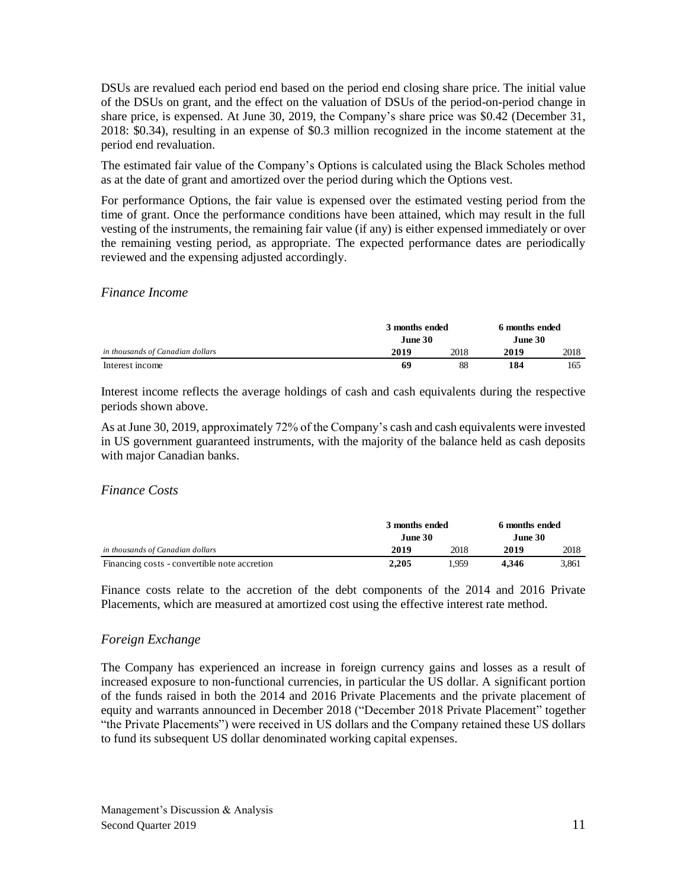DSUs are revalued each period end based on the period end closing share price. The initial value of the DSUs on grant, and the effect on the valuation of DSUs of the period-on-period change in share price, is expensed. At June 30, 2019, the Company's share price was \$0.42 (December 31, 2018: \$0.34), resulting in an expense of \$0.3 million recognized in the income statement at the period end revaluation.

The estimated fair value of the Company's Options is calculated using the Black Scholes method as at the date of grant and amortized over the period during which the Options vest.

For performance Options, the fair value is expensed over the estimated vesting period from the time of grant. Once the performance conditions have been attained, which may result in the full vesting of the instruments, the remaining fair value (if any) is either expensed immediately or over the remaining vesting period, as appropriate. The expected performance dates are periodically reviewed and the expensing adjusted accordingly.

#### *Finance Income*

|                                  | 3 months ended<br>June 30 | 6 months ended<br>June 30 |      |      |
|----------------------------------|---------------------------|---------------------------|------|------|
| in thousands of Canadian dollars | 2019                      | 2018                      | 2019 | 2018 |
| Interest income                  | 69                        | 88                        | 184  | 165  |

Interest income reflects the average holdings of cash and cash equivalents during the respective periods shown above.

As at June 30, 2019, approximately 72% of the Company's cash and cash equivalents were invested in US government guaranteed instruments, with the majority of the balance held as cash deposits with major Canadian banks.

#### *Finance Costs*

|                                              |         | 3 months ended |          | 6 months ended |
|----------------------------------------------|---------|----------------|----------|----------------|
|                                              | June 30 |                | June 30. |                |
| in thousands of Canadian dollars             | 2019    | 2018           | 2019     | 2018           |
| Financing costs - convertible note accretion | 2.205   | . 959          | 4.346    | 3.861          |

Finance costs relate to the accretion of the debt components of the 2014 and 2016 Private Placements, which are measured at amortized cost using the effective interest rate method.

#### *Foreign Exchange*

The Company has experienced an increase in foreign currency gains and losses as a result of increased exposure to non-functional currencies, in particular the US dollar. A significant portion of the funds raised in both the 2014 and 2016 Private Placements and the private placement of equity and warrants announced in December 2018 ("December 2018 Private Placement" together "the Private Placements") were received in US dollars and the Company retained these US dollars to fund its subsequent US dollar denominated working capital expenses.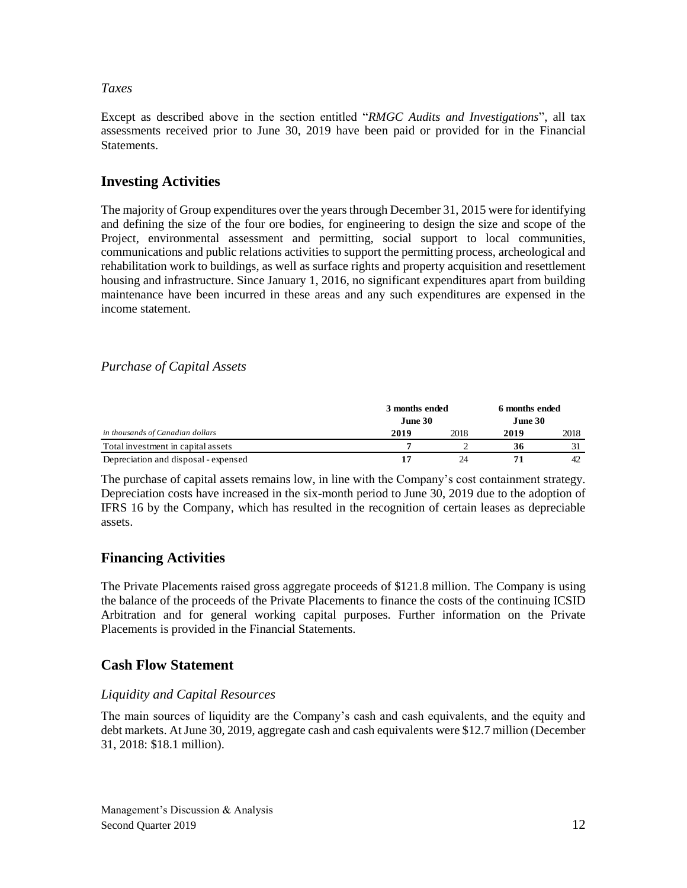### *Taxes*

Except as described above in the section entitled "*RMGC Audits and Investigations*", all tax assessments received prior to June 30, 2019 have been paid or provided for in the Financial **Statements** 

## **Investing Activities**

The majority of Group expenditures over the years through December 31, 2015 were for identifying and defining the size of the four ore bodies, for engineering to design the size and scope of the Project, environmental assessment and permitting, social support to local communities, communications and public relations activities to support the permitting process, archeological and rehabilitation work to buildings, as well as surface rights and property acquisition and resettlement housing and infrastructure. Since January 1, 2016, no significant expenditures apart from building maintenance have been incurred in these areas and any such expenditures are expensed in the income statement.

## *Purchase of Capital Assets*

|                                      | 3 months ended<br>June 30 |      | 6 months ended<br>June 30 |      |
|--------------------------------------|---------------------------|------|---------------------------|------|
| in thousands of Canadian dollars     | 2019                      | 2018 | 2019                      | 2018 |
| Total investment in capital assets   |                           |      | 36                        |      |
| Depreciation and disposal - expensed |                           | 24   |                           | 42   |

The purchase of capital assets remains low, in line with the Company's cost containment strategy. Depreciation costs have increased in the six-month period to June 30, 2019 due to the adoption of IFRS 16 by the Company, which has resulted in the recognition of certain leases as depreciable assets.

## **Financing Activities**

The Private Placements raised gross aggregate proceeds of \$121.8 million. The Company is using the balance of the proceeds of the Private Placements to finance the costs of the continuing ICSID Arbitration and for general working capital purposes. Further information on the Private Placements is provided in the Financial Statements.

## **Cash Flow Statement**

### *Liquidity and Capital Resources*

The main sources of liquidity are the Company's cash and cash equivalents, and the equity and debt markets. At June 30, 2019, aggregate cash and cash equivalents were \$12.7 million (December 31, 2018: \$18.1 million).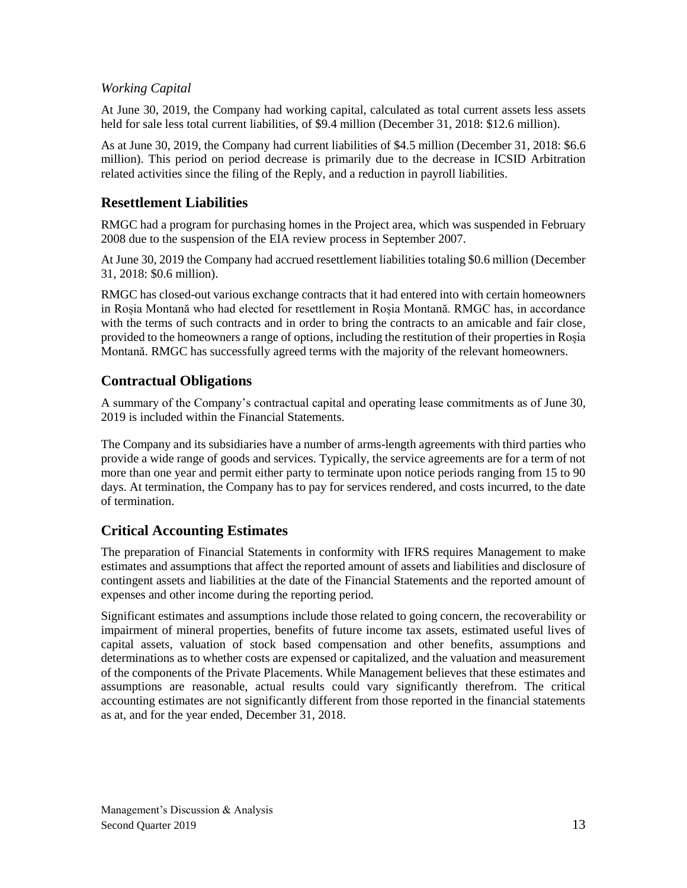## *Working Capital*

At June 30, 2019, the Company had working capital, calculated as total current assets less assets held for sale less total current liabilities, of \$9.4 million (December 31, 2018: \$12.6 million).

As at June 30, 2019, the Company had current liabilities of \$4.5 million (December 31, 2018: \$6.6 million). This period on period decrease is primarily due to the decrease in ICSID Arbitration related activities since the filing of the Reply, and a reduction in payroll liabilities.

## **Resettlement Liabilities**

RMGC had a program for purchasing homes in the Project area, which was suspended in February 2008 due to the suspension of the EIA review process in September 2007.

At June 30, 2019 the Company had accrued resettlement liabilities totaling \$0.6 million (December 31, 2018: \$0.6 million).

RMGC has closed-out various exchange contracts that it had entered into with certain homeowners in Roșia Montană who had elected for resettlement in Roșia Montană. RMGC has, in accordance with the terms of such contracts and in order to bring the contracts to an amicable and fair close, provided to the homeowners a range of options, including the restitution of their properties in Roșia Montană. RMGC has successfully agreed terms with the majority of the relevant homeowners.

# **Contractual Obligations**

A summary of the Company's contractual capital and operating lease commitments as of June 30, 2019 is included within the Financial Statements.

The Company and its subsidiaries have a number of arms-length agreements with third parties who provide a wide range of goods and services. Typically, the service agreements are for a term of not more than one year and permit either party to terminate upon notice periods ranging from 15 to 90 days. At termination, the Company has to pay for services rendered, and costs incurred, to the date of termination.

# **Critical Accounting Estimates**

The preparation of Financial Statements in conformity with IFRS requires Management to make estimates and assumptions that affect the reported amount of assets and liabilities and disclosure of contingent assets and liabilities at the date of the Financial Statements and the reported amount of expenses and other income during the reporting period.

Significant estimates and assumptions include those related to going concern, the recoverability or impairment of mineral properties, benefits of future income tax assets, estimated useful lives of capital assets, valuation of stock based compensation and other benefits, assumptions and determinations as to whether costs are expensed or capitalized, and the valuation and measurement of the components of the Private Placements. While Management believes that these estimates and assumptions are reasonable, actual results could vary significantly therefrom. The critical accounting estimates are not significantly different from those reported in the financial statements as at, and for the year ended, December 31, 2018.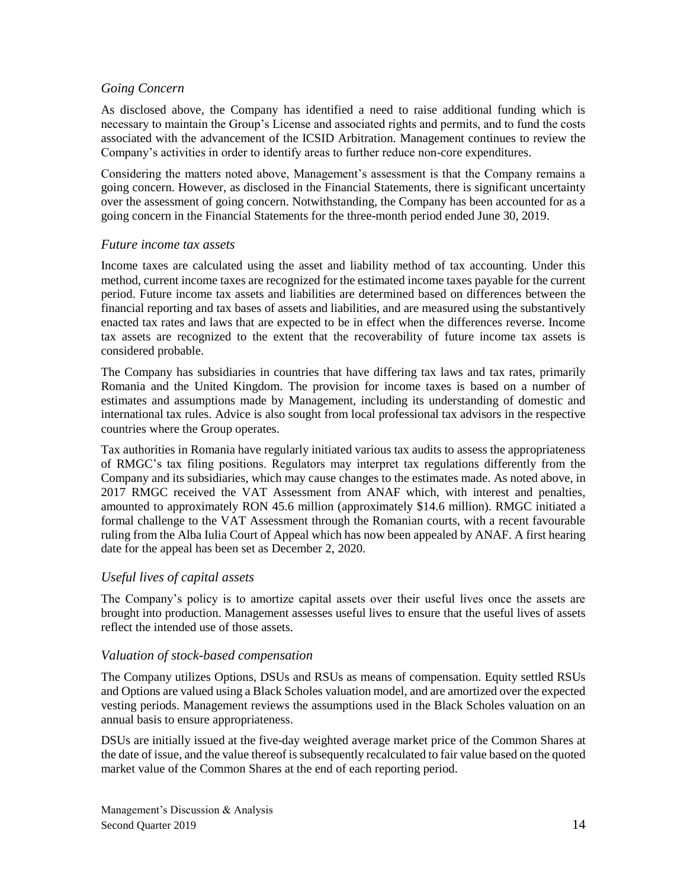#### *Going Concern*

As disclosed above, the Company has identified a need to raise additional funding which is necessary to maintain the Group's License and associated rights and permits, and to fund the costs associated with the advancement of the ICSID Arbitration. Management continues to review the Company's activities in order to identify areas to further reduce non-core expenditures.

Considering the matters noted above, Management's assessment is that the Company remains a going concern. However, as disclosed in the Financial Statements, there is significant uncertainty over the assessment of going concern. Notwithstanding, the Company has been accounted for as a going concern in the Financial Statements for the three-month period ended June 30, 2019.

#### *Future income tax assets*

Income taxes are calculated using the asset and liability method of tax accounting. Under this method, current income taxes are recognized for the estimated income taxes payable for the current period. Future income tax assets and liabilities are determined based on differences between the financial reporting and tax bases of assets and liabilities, and are measured using the substantively enacted tax rates and laws that are expected to be in effect when the differences reverse. Income tax assets are recognized to the extent that the recoverability of future income tax assets is considered probable.

The Company has subsidiaries in countries that have differing tax laws and tax rates, primarily Romania and the United Kingdom. The provision for income taxes is based on a number of estimates and assumptions made by Management, including its understanding of domestic and international tax rules. Advice is also sought from local professional tax advisors in the respective countries where the Group operates.

Tax authorities in Romania have regularly initiated various tax audits to assess the appropriateness of RMGC's tax filing positions. Regulators may interpret tax regulations differently from the Company and its subsidiaries, which may cause changes to the estimates made. As noted above, in 2017 RMGC received the VAT Assessment from ANAF which, with interest and penalties, amounted to approximately RON 45.6 million (approximately \$14.6 million). RMGC initiated a formal challenge to the VAT Assessment through the Romanian courts, with a recent favourable ruling from the Alba Iulia Court of Appeal which has now been appealed by ANAF. A first hearing date for the appeal has been set as December 2, 2020.

### *Useful lives of capital assets*

The Company's policy is to amortize capital assets over their useful lives once the assets are brought into production. Management assesses useful lives to ensure that the useful lives of assets reflect the intended use of those assets.

### *Valuation of stock-based compensation*

The Company utilizes Options, DSUs and RSUs as means of compensation. Equity settled RSUs and Options are valued using a Black Scholes valuation model, and are amortized over the expected vesting periods. Management reviews the assumptions used in the Black Scholes valuation on an annual basis to ensure appropriateness.

DSUs are initially issued at the five-day weighted average market price of the Common Shares at the date of issue, and the value thereof is subsequently recalculated to fair value based on the quoted market value of the Common Shares at the end of each reporting period.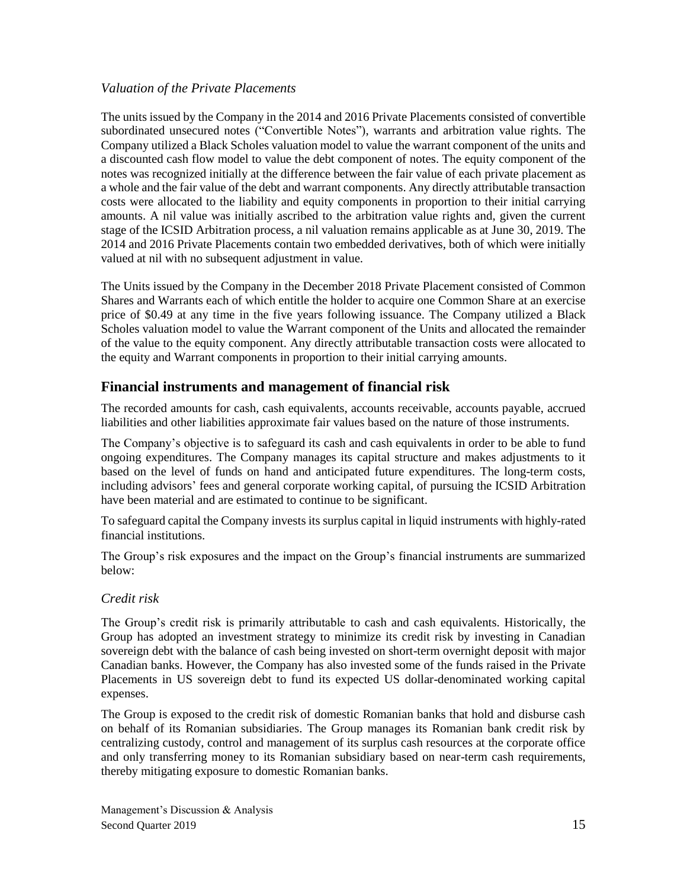### *Valuation of the Private Placements*

The units issued by the Company in the 2014 and 2016 Private Placements consisted of convertible subordinated unsecured notes ("Convertible Notes"), warrants and arbitration value rights. The Company utilized a Black Scholes valuation model to value the warrant component of the units and a discounted cash flow model to value the debt component of notes. The equity component of the notes was recognized initially at the difference between the fair value of each private placement as a whole and the fair value of the debt and warrant components. Any directly attributable transaction costs were allocated to the liability and equity components in proportion to their initial carrying amounts. A nil value was initially ascribed to the arbitration value rights and, given the current stage of the ICSID Arbitration process, a nil valuation remains applicable as at June 30, 2019. The 2014 and 2016 Private Placements contain two embedded derivatives, both of which were initially valued at nil with no subsequent adjustment in value.

The Units issued by the Company in the December 2018 Private Placement consisted of Common Shares and Warrants each of which entitle the holder to acquire one Common Share at an exercise price of \$0.49 at any time in the five years following issuance. The Company utilized a Black Scholes valuation model to value the Warrant component of the Units and allocated the remainder of the value to the equity component. Any directly attributable transaction costs were allocated to the equity and Warrant components in proportion to their initial carrying amounts.

## **Financial instruments and management of financial risk**

The recorded amounts for cash, cash equivalents, accounts receivable, accounts payable, accrued liabilities and other liabilities approximate fair values based on the nature of those instruments.

The Company's objective is to safeguard its cash and cash equivalents in order to be able to fund ongoing expenditures. The Company manages its capital structure and makes adjustments to it based on the level of funds on hand and anticipated future expenditures. The long-term costs, including advisors' fees and general corporate working capital, of pursuing the ICSID Arbitration have been material and are estimated to continue to be significant.

To safeguard capital the Company invests its surplus capital in liquid instruments with highly-rated financial institutions.

The Group's risk exposures and the impact on the Group's financial instruments are summarized below:

### *Credit risk*

The Group's credit risk is primarily attributable to cash and cash equivalents. Historically, the Group has adopted an investment strategy to minimize its credit risk by investing in Canadian sovereign debt with the balance of cash being invested on short-term overnight deposit with major Canadian banks. However, the Company has also invested some of the funds raised in the Private Placements in US sovereign debt to fund its expected US dollar-denominated working capital expenses.

The Group is exposed to the credit risk of domestic Romanian banks that hold and disburse cash on behalf of its Romanian subsidiaries. The Group manages its Romanian bank credit risk by centralizing custody, control and management of its surplus cash resources at the corporate office and only transferring money to its Romanian subsidiary based on near-term cash requirements, thereby mitigating exposure to domestic Romanian banks.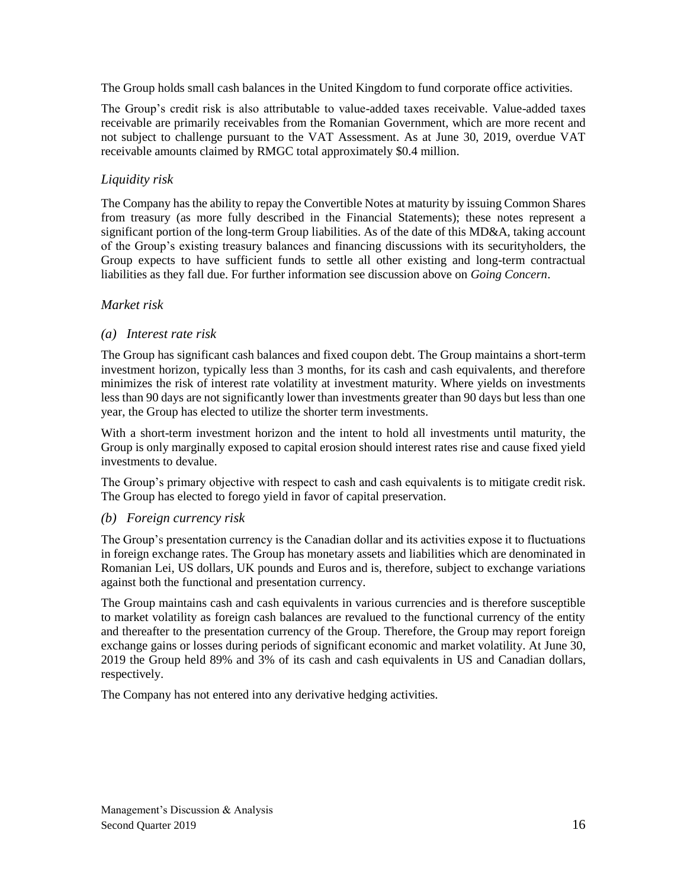The Group holds small cash balances in the United Kingdom to fund corporate office activities.

The Group's credit risk is also attributable to value-added taxes receivable. Value-added taxes receivable are primarily receivables from the Romanian Government, which are more recent and not subject to challenge pursuant to the VAT Assessment. As at June 30, 2019, overdue VAT receivable amounts claimed by RMGC total approximately \$0.4 million.

## *Liquidity risk*

The Company has the ability to repay the Convertible Notes at maturity by issuing Common Shares from treasury (as more fully described in the Financial Statements); these notes represent a significant portion of the long-term Group liabilities. As of the date of this MD&A, taking account of the Group's existing treasury balances and financing discussions with its securityholders, the Group expects to have sufficient funds to settle all other existing and long-term contractual liabilities as they fall due. For further information see discussion above on *Going Concern*.

## *Market risk*

### *(a) Interest rate risk*

The Group has significant cash balances and fixed coupon debt. The Group maintains a short-term investment horizon, typically less than 3 months, for its cash and cash equivalents, and therefore minimizes the risk of interest rate volatility at investment maturity. Where yields on investments less than 90 days are not significantly lower than investments greater than 90 days but less than one year, the Group has elected to utilize the shorter term investments.

With a short-term investment horizon and the intent to hold all investments until maturity, the Group is only marginally exposed to capital erosion should interest rates rise and cause fixed yield investments to devalue.

The Group's primary objective with respect to cash and cash equivalents is to mitigate credit risk. The Group has elected to forego yield in favor of capital preservation.

### *(b) Foreign currency risk*

The Group's presentation currency is the Canadian dollar and its activities expose it to fluctuations in foreign exchange rates. The Group has monetary assets and liabilities which are denominated in Romanian Lei, US dollars, UK pounds and Euros and is, therefore, subject to exchange variations against both the functional and presentation currency.

The Group maintains cash and cash equivalents in various currencies and is therefore susceptible to market volatility as foreign cash balances are revalued to the functional currency of the entity and thereafter to the presentation currency of the Group. Therefore, the Group may report foreign exchange gains or losses during periods of significant economic and market volatility. At June 30, 2019 the Group held 89% and 3% of its cash and cash equivalents in US and Canadian dollars, respectively.

The Company has not entered into any derivative hedging activities.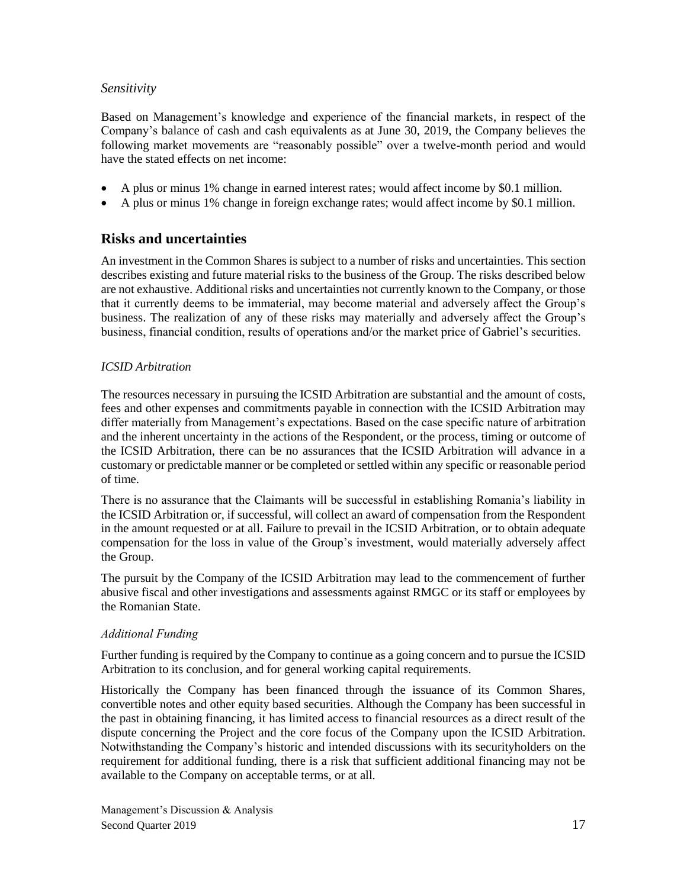### *Sensitivity*

Based on Management's knowledge and experience of the financial markets, in respect of the Company's balance of cash and cash equivalents as at June 30, 2019, the Company believes the following market movements are "reasonably possible" over a twelve-month period and would have the stated effects on net income:

- A plus or minus 1% change in earned interest rates; would affect income by \$0.1 million.
- A plus or minus 1% change in foreign exchange rates; would affect income by \$0.1 million.

## **Risks and uncertainties**

An investment in the Common Shares is subject to a number of risks and uncertainties. This section describes existing and future material risks to the business of the Group. The risks described below are not exhaustive. Additional risks and uncertainties not currently known to the Company, or those that it currently deems to be immaterial, may become material and adversely affect the Group's business. The realization of any of these risks may materially and adversely affect the Group's business, financial condition, results of operations and/or the market price of Gabriel's securities.

#### *ICSID Arbitration*

The resources necessary in pursuing the ICSID Arbitration are substantial and the amount of costs, fees and other expenses and commitments payable in connection with the ICSID Arbitration may differ materially from Management's expectations. Based on the case specific nature of arbitration and the inherent uncertainty in the actions of the Respondent, or the process, timing or outcome of the ICSID Arbitration, there can be no assurances that the ICSID Arbitration will advance in a customary or predictable manner or be completed or settled within any specific or reasonable period of time.

There is no assurance that the Claimants will be successful in establishing Romania's liability in the ICSID Arbitration or, if successful, will collect an award of compensation from the Respondent in the amount requested or at all. Failure to prevail in the ICSID Arbitration, or to obtain adequate compensation for the loss in value of the Group's investment, would materially adversely affect the Group.

The pursuit by the Company of the ICSID Arbitration may lead to the commencement of further abusive fiscal and other investigations and assessments against RMGC or its staff or employees by the Romanian State.

#### *Additional Funding*

Further funding is required by the Company to continue as a going concern and to pursue the ICSID Arbitration to its conclusion, and for general working capital requirements.

Historically the Company has been financed through the issuance of its Common Shares, convertible notes and other equity based securities. Although the Company has been successful in the past in obtaining financing, it has limited access to financial resources as a direct result of the dispute concerning the Project and the core focus of the Company upon the ICSID Arbitration. Notwithstanding the Company's historic and intended discussions with its securityholders on the requirement for additional funding, there is a risk that sufficient additional financing may not be available to the Company on acceptable terms, or at all.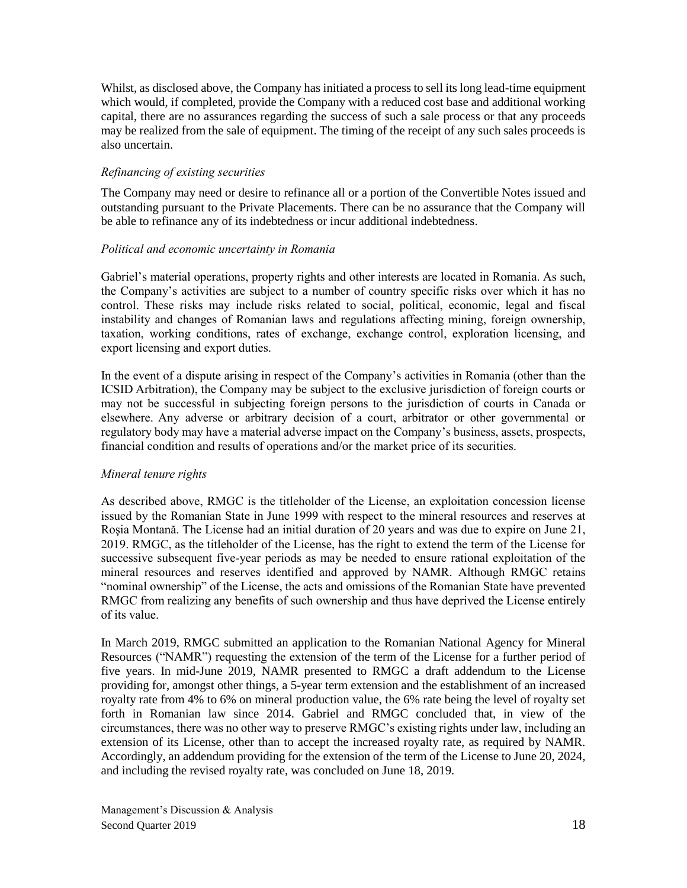Whilst, as disclosed above, the Company has initiated a process to sell its long lead-time equipment which would, if completed, provide the Company with a reduced cost base and additional working capital, there are no assurances regarding the success of such a sale process or that any proceeds may be realized from the sale of equipment. The timing of the receipt of any such sales proceeds is also uncertain.

#### *Refinancing of existing securities*

The Company may need or desire to refinance all or a portion of the Convertible Notes issued and outstanding pursuant to the Private Placements. There can be no assurance that the Company will be able to refinance any of its indebtedness or incur additional indebtedness.

#### *Political and economic uncertainty in Romania*

Gabriel's material operations, property rights and other interests are located in Romania. As such, the Company's activities are subject to a number of country specific risks over which it has no control. These risks may include risks related to social, political, economic, legal and fiscal instability and changes of Romanian laws and regulations affecting mining, foreign ownership, taxation, working conditions, rates of exchange, exchange control, exploration licensing, and export licensing and export duties.

In the event of a dispute arising in respect of the Company's activities in Romania (other than the ICSID Arbitration), the Company may be subject to the exclusive jurisdiction of foreign courts or may not be successful in subjecting foreign persons to the jurisdiction of courts in Canada or elsewhere. Any adverse or arbitrary decision of a court, arbitrator or other governmental or regulatory body may have a material adverse impact on the Company's business, assets, prospects, financial condition and results of operations and/or the market price of its securities.

#### *Mineral tenure rights*

As described above, RMGC is the titleholder of the License, an exploitation concession license issued by the Romanian State in June 1999 with respect to the mineral resources and reserves at Roşia Montană. The License had an initial duration of 20 years and was due to expire on June 21, 2019. RMGC, as the titleholder of the License, has the right to extend the term of the License for successive subsequent five-year periods as may be needed to ensure rational exploitation of the mineral resources and reserves identified and approved by NAMR. Although RMGC retains "nominal ownership" of the License, the acts and omissions of the Romanian State have prevented RMGC from realizing any benefits of such ownership and thus have deprived the License entirely of its value.

In March 2019, RMGC submitted an application to the Romanian National Agency for Mineral Resources ("NAMR") requesting the extension of the term of the License for a further period of five years. In mid-June 2019, NAMR presented to RMGC a draft addendum to the License providing for, amongst other things, a 5-year term extension and the establishment of an increased royalty rate from 4% to 6% on mineral production value, the 6% rate being the level of royalty set forth in Romanian law since 2014. Gabriel and RMGC concluded that, in view of the circumstances, there was no other way to preserve RMGC's existing rights under law, including an extension of its License, other than to accept the increased royalty rate, as required by NAMR. Accordingly, an addendum providing for the extension of the term of the License to June 20, 2024, and including the revised royalty rate, was concluded on June 18, 2019.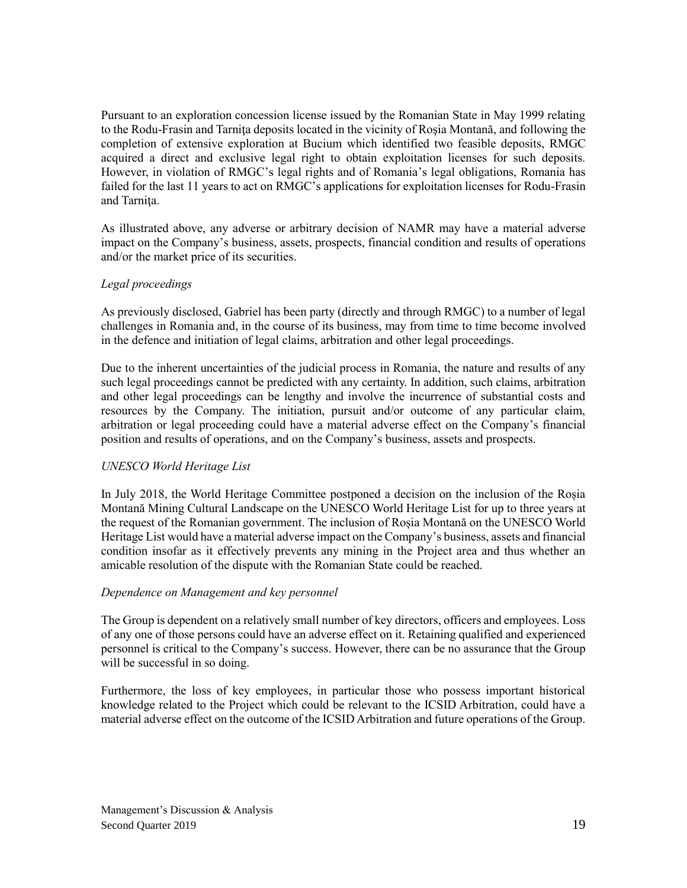Pursuant to an exploration concession license issued by the Romanian State in May 1999 relating to the Rodu-Frasin and Tarniţa deposits located in the vicinity of Roşia Montană, and following the completion of extensive exploration at Bucium which identified two feasible deposits, RMGC acquired a direct and exclusive legal right to obtain exploitation licenses for such deposits. However, in violation of RMGC's legal rights and of Romania's legal obligations, Romania has failed for the last 11 years to act on RMGC's applications for exploitation licenses for Rodu-Frasin and Tarniţa.

As illustrated above, any adverse or arbitrary decision of NAMR may have a material adverse impact on the Company's business, assets, prospects, financial condition and results of operations and/or the market price of its securities.

#### *Legal proceedings*

As previously disclosed, Gabriel has been party (directly and through RMGC) to a number of legal challenges in Romania and, in the course of its business, may from time to time become involved in the defence and initiation of legal claims, arbitration and other legal proceedings.

Due to the inherent uncertainties of the judicial process in Romania, the nature and results of any such legal proceedings cannot be predicted with any certainty. In addition, such claims, arbitration and other legal proceedings can be lengthy and involve the incurrence of substantial costs and resources by the Company. The initiation, pursuit and/or outcome of any particular claim, arbitration or legal proceeding could have a material adverse effect on the Company's financial position and results of operations, and on the Company's business, assets and prospects.

### *UNESCO World Heritage List*

In July 2018, the World Heritage Committee postponed a decision on the inclusion of the Roșia Montană Mining Cultural Landscape on the UNESCO World Heritage List for up to three years at the request of the Romanian government. The inclusion of Roșia Montană on the UNESCO World Heritage List would have a material adverse impact on the Company's business, assets and financial condition insofar as it effectively prevents any mining in the Project area and thus whether an amicable resolution of the dispute with the Romanian State could be reached.

#### *Dependence on Management and key personnel*

The Group is dependent on a relatively small number of key directors, officers and employees. Loss of any one of those persons could have an adverse effect on it. Retaining qualified and experienced personnel is critical to the Company's success. However, there can be no assurance that the Group will be successful in so doing.

Furthermore, the loss of key employees, in particular those who possess important historical knowledge related to the Project which could be relevant to the ICSID Arbitration, could have a material adverse effect on the outcome of the ICSID Arbitration and future operations of the Group.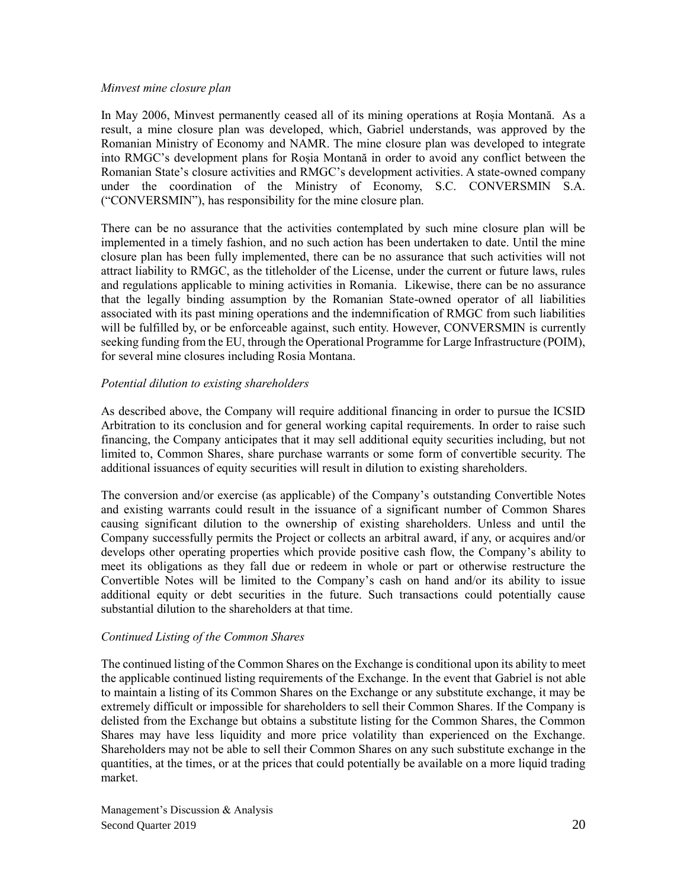#### *Minvest mine closure plan*

In May 2006, Minvest permanently ceased all of its mining operations at Roșia Montană. As a result, a mine closure plan was developed, which, Gabriel understands, was approved by the Romanian Ministry of Economy and NAMR. The mine closure plan was developed to integrate into RMGC's development plans for Roșia Montană in order to avoid any conflict between the Romanian State's closure activities and RMGC's development activities. A state-owned company under the coordination of the Ministry of Economy, S.C. CONVERSMIN S.A. ("CONVERSMIN"), has responsibility for the mine closure plan.

There can be no assurance that the activities contemplated by such mine closure plan will be implemented in a timely fashion, and no such action has been undertaken to date. Until the mine closure plan has been fully implemented, there can be no assurance that such activities will not attract liability to RMGC, as the titleholder of the License, under the current or future laws, rules and regulations applicable to mining activities in Romania. Likewise, there can be no assurance that the legally binding assumption by the Romanian State-owned operator of all liabilities associated with its past mining operations and the indemnification of RMGC from such liabilities will be fulfilled by, or be enforceable against, such entity. However, CONVERSMIN is currently seeking funding from the EU, through the Operational Programme for Large Infrastructure (POIM), for several mine closures including Rosia Montana.

#### *Potential dilution to existing shareholders*

As described above, the Company will require additional financing in order to pursue the ICSID Arbitration to its conclusion and for general working capital requirements. In order to raise such financing, the Company anticipates that it may sell additional equity securities including, but not limited to, Common Shares, share purchase warrants or some form of convertible security. The additional issuances of equity securities will result in dilution to existing shareholders.

The conversion and/or exercise (as applicable) of the Company's outstanding Convertible Notes and existing warrants could result in the issuance of a significant number of Common Shares causing significant dilution to the ownership of existing shareholders. Unless and until the Company successfully permits the Project or collects an arbitral award, if any, or acquires and/or develops other operating properties which provide positive cash flow, the Company's ability to meet its obligations as they fall due or redeem in whole or part or otherwise restructure the Convertible Notes will be limited to the Company's cash on hand and/or its ability to issue additional equity or debt securities in the future. Such transactions could potentially cause substantial dilution to the shareholders at that time.

#### *Continued Listing of the Common Shares*

The continued listing of the Common Shares on the Exchange is conditional upon its ability to meet the applicable continued listing requirements of the Exchange. In the event that Gabriel is not able to maintain a listing of its Common Shares on the Exchange or any substitute exchange, it may be extremely difficult or impossible for shareholders to sell their Common Shares. If the Company is delisted from the Exchange but obtains a substitute listing for the Common Shares, the Common Shares may have less liquidity and more price volatility than experienced on the Exchange. Shareholders may not be able to sell their Common Shares on any such substitute exchange in the quantities, at the times, or at the prices that could potentially be available on a more liquid trading market.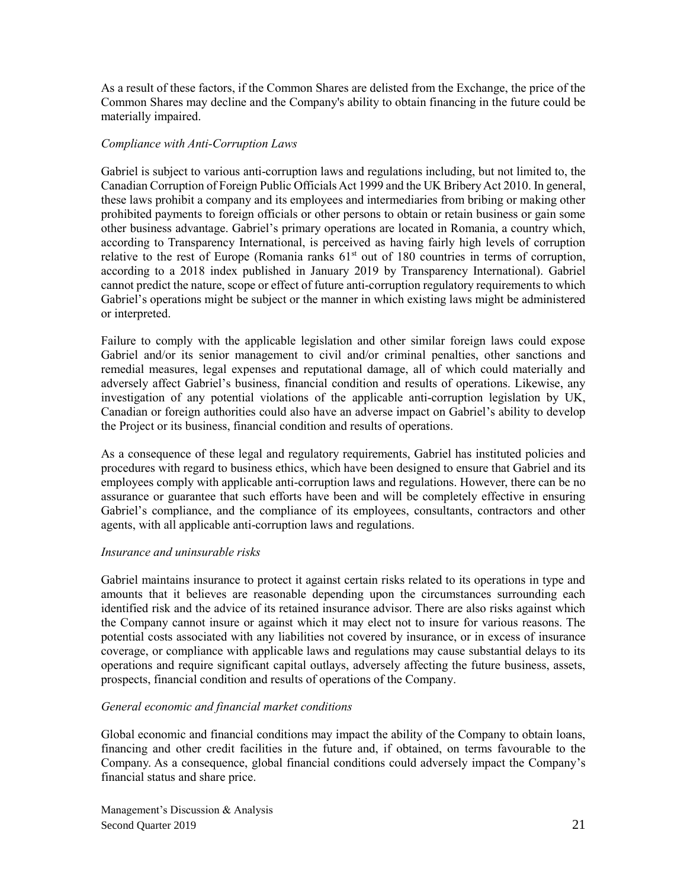As a result of these factors, if the Common Shares are delisted from the Exchange, the price of the Common Shares may decline and the Company's ability to obtain financing in the future could be materially impaired.

#### *Compliance with Anti-Corruption Laws*

Gabriel is subject to various anti-corruption laws and regulations including, but not limited to, the Canadian Corruption of Foreign Public Officials Act 1999 and the UK Bribery Act 2010. In general, these laws prohibit a company and its employees and intermediaries from bribing or making other prohibited payments to foreign officials or other persons to obtain or retain business or gain some other business advantage. Gabriel's primary operations are located in Romania, a country which, according to Transparency International, is perceived as having fairly high levels of corruption relative to the rest of Europe (Romania ranks  $61<sup>st</sup>$  out of 180 countries in terms of corruption, according to a 2018 index published in January 2019 by Transparency International). Gabriel cannot predict the nature, scope or effect of future anti-corruption regulatory requirements to which Gabriel's operations might be subject or the manner in which existing laws might be administered or interpreted.

Failure to comply with the applicable legislation and other similar foreign laws could expose Gabriel and/or its senior management to civil and/or criminal penalties, other sanctions and remedial measures, legal expenses and reputational damage, all of which could materially and adversely affect Gabriel's business, financial condition and results of operations. Likewise, any investigation of any potential violations of the applicable anti-corruption legislation by UK, Canadian or foreign authorities could also have an adverse impact on Gabriel's ability to develop the Project or its business, financial condition and results of operations.

As a consequence of these legal and regulatory requirements, Gabriel has instituted policies and procedures with regard to business ethics, which have been designed to ensure that Gabriel and its employees comply with applicable anti-corruption laws and regulations. However, there can be no assurance or guarantee that such efforts have been and will be completely effective in ensuring Gabriel's compliance, and the compliance of its employees, consultants, contractors and other agents, with all applicable anti-corruption laws and regulations.

#### *Insurance and uninsurable risks*

Gabriel maintains insurance to protect it against certain risks related to its operations in type and amounts that it believes are reasonable depending upon the circumstances surrounding each identified risk and the advice of its retained insurance advisor. There are also risks against which the Company cannot insure or against which it may elect not to insure for various reasons. The potential costs associated with any liabilities not covered by insurance, or in excess of insurance coverage, or compliance with applicable laws and regulations may cause substantial delays to its operations and require significant capital outlays, adversely affecting the future business, assets, prospects, financial condition and results of operations of the Company.

#### *General economic and financial market conditions*

Global economic and financial conditions may impact the ability of the Company to obtain loans, financing and other credit facilities in the future and, if obtained, on terms favourable to the Company. As a consequence, global financial conditions could adversely impact the Company's financial status and share price.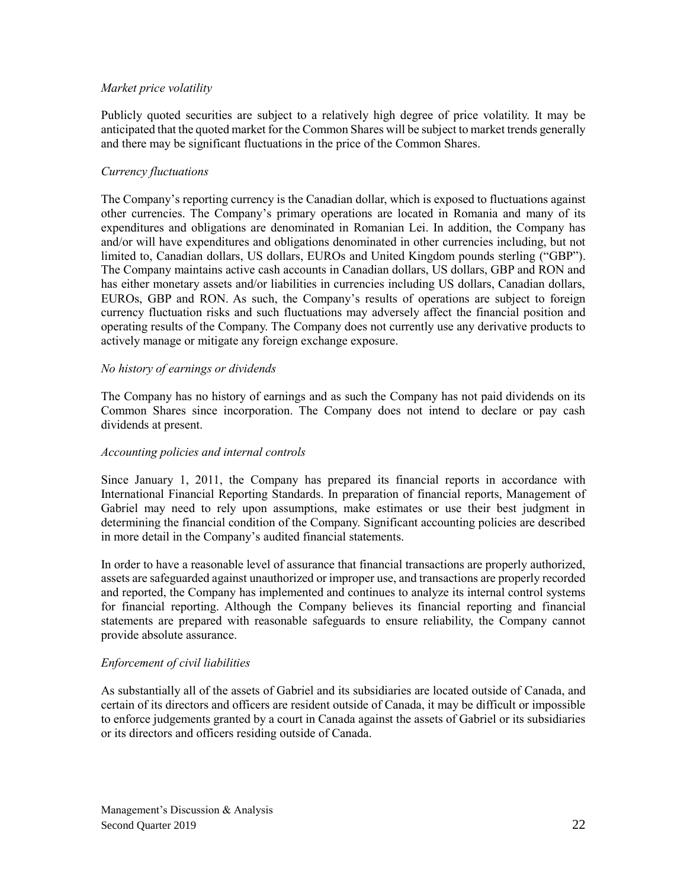#### *Market price volatility*

Publicly quoted securities are subject to a relatively high degree of price volatility. It may be anticipated that the quoted market for the Common Shares will be subject to market trends generally and there may be significant fluctuations in the price of the Common Shares.

### *Currency fluctuations*

The Company's reporting currency is the Canadian dollar, which is exposed to fluctuations against other currencies. The Company's primary operations are located in Romania and many of its expenditures and obligations are denominated in Romanian Lei. In addition, the Company has and/or will have expenditures and obligations denominated in other currencies including, but not limited to, Canadian dollars, US dollars, EUROs and United Kingdom pounds sterling ("GBP"). The Company maintains active cash accounts in Canadian dollars, US dollars, GBP and RON and has either monetary assets and/or liabilities in currencies including US dollars, Canadian dollars, EUROs, GBP and RON. As such, the Company's results of operations are subject to foreign currency fluctuation risks and such fluctuations may adversely affect the financial position and operating results of the Company. The Company does not currently use any derivative products to actively manage or mitigate any foreign exchange exposure.

#### *No history of earnings or dividends*

The Company has no history of earnings and as such the Company has not paid dividends on its Common Shares since incorporation. The Company does not intend to declare or pay cash dividends at present.

#### *Accounting policies and internal controls*

Since January 1, 2011, the Company has prepared its financial reports in accordance with International Financial Reporting Standards. In preparation of financial reports, Management of Gabriel may need to rely upon assumptions, make estimates or use their best judgment in determining the financial condition of the Company. Significant accounting policies are described in more detail in the Company's audited financial statements.

In order to have a reasonable level of assurance that financial transactions are properly authorized, assets are safeguarded against unauthorized or improper use, and transactions are properly recorded and reported, the Company has implemented and continues to analyze its internal control systems for financial reporting. Although the Company believes its financial reporting and financial statements are prepared with reasonable safeguards to ensure reliability, the Company cannot provide absolute assurance.

### *Enforcement of civil liabilities*

As substantially all of the assets of Gabriel and its subsidiaries are located outside of Canada, and certain of its directors and officers are resident outside of Canada, it may be difficult or impossible to enforce judgements granted by a court in Canada against the assets of Gabriel or its subsidiaries or its directors and officers residing outside of Canada.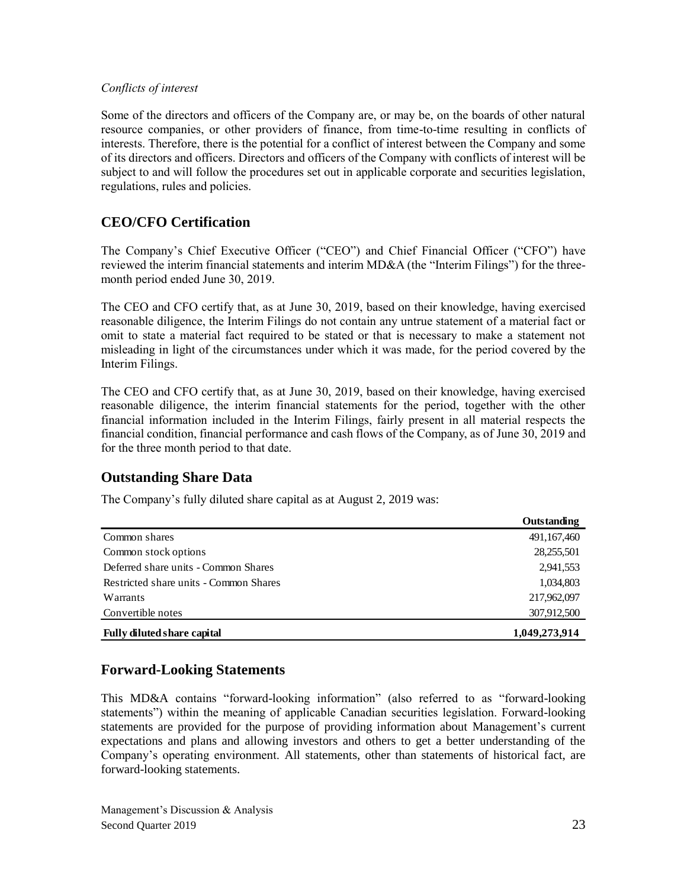#### *Conflicts of interest*

Some of the directors and officers of the Company are, or may be, on the boards of other natural resource companies, or other providers of finance, from time-to-time resulting in conflicts of interests. Therefore, there is the potential for a conflict of interest between the Company and some of its directors and officers. Directors and officers of the Company with conflicts of interest will be subject to and will follow the procedures set out in applicable corporate and securities legislation, regulations, rules and policies.

# **CEO/CFO Certification**

The Company's Chief Executive Officer ("CEO") and Chief Financial Officer ("CFO") have reviewed the interim financial statements and interim MD&A (the "Interim Filings") for the threemonth period ended June 30, 2019.

The CEO and CFO certify that, as at June 30, 2019, based on their knowledge, having exercised reasonable diligence, the Interim Filings do not contain any untrue statement of a material fact or omit to state a material fact required to be stated or that is necessary to make a statement not misleading in light of the circumstances under which it was made, for the period covered by the Interim Filings.

The CEO and CFO certify that, as at June 30, 2019, based on their knowledge, having exercised reasonable diligence, the interim financial statements for the period, together with the other financial information included in the Interim Filings, fairly present in all material respects the financial condition, financial performance and cash flows of the Company, as of June 30, 2019 and for the three month period to that date.

## **Outstanding Share Data**

The Company's fully diluted share capital as at August 2, 2019 was:

|                                        | Outstanding   |
|----------------------------------------|---------------|
| Common shares                          | 491,167,460   |
| Common stock options                   | 28,255,501    |
| Deferred share units - Common Shares   | 2,941,553     |
| Restricted share units - Common Shares | 1,034,803     |
| Warrants                               | 217,962,097   |
| Convertible notes                      | 307,912,500   |
| <b>Fully diluted share capital</b>     | 1,049,273,914 |

## **Forward-Looking Statements**

This MD&A contains "forward-looking information" (also referred to as "forward-looking statements") within the meaning of applicable Canadian securities legislation. Forward-looking statements are provided for the purpose of providing information about Management's current expectations and plans and allowing investors and others to get a better understanding of the Company's operating environment. All statements, other than statements of historical fact, are forward-looking statements.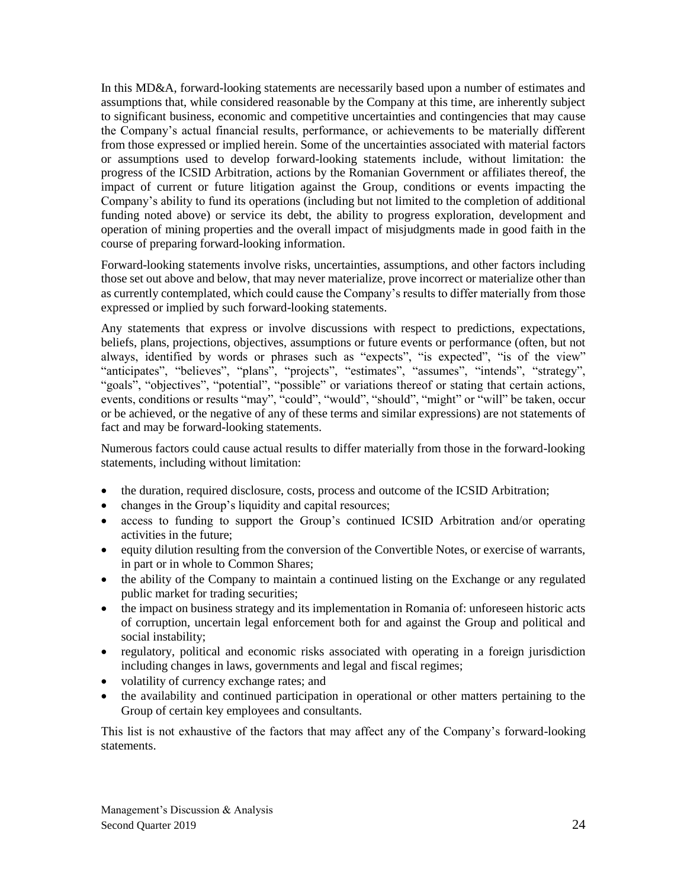In this MD&A, forward-looking statements are necessarily based upon a number of estimates and assumptions that, while considered reasonable by the Company at this time, are inherently subject to significant business, economic and competitive uncertainties and contingencies that may cause the Company's actual financial results, performance, or achievements to be materially different from those expressed or implied herein. Some of the uncertainties associated with material factors or assumptions used to develop forward-looking statements include, without limitation: the progress of the ICSID Arbitration, actions by the Romanian Government or affiliates thereof, the impact of current or future litigation against the Group, conditions or events impacting the Company's ability to fund its operations (including but not limited to the completion of additional funding noted above) or service its debt, the ability to progress exploration, development and operation of mining properties and the overall impact of misjudgments made in good faith in the course of preparing forward-looking information.

Forward-looking statements involve risks, uncertainties, assumptions, and other factors including those set out above and below, that may never materialize, prove incorrect or materialize other than as currently contemplated, which could cause the Company's results to differ materially from those expressed or implied by such forward-looking statements.

Any statements that express or involve discussions with respect to predictions, expectations, beliefs, plans, projections, objectives, assumptions or future events or performance (often, but not always, identified by words or phrases such as "expects", "is expected", "is of the view" "anticipates", "believes", "plans", "projects", "estimates", "assumes", "intends", "strategy", "goals", "objectives", "potential", "possible" or variations thereof or stating that certain actions, events, conditions or results "may", "could", "would", "should", "might" or "will" be taken, occur or be achieved, or the negative of any of these terms and similar expressions) are not statements of fact and may be forward-looking statements.

Numerous factors could cause actual results to differ materially from those in the forward-looking statements, including without limitation:

- the duration, required disclosure, costs, process and outcome of the ICSID Arbitration;
- changes in the Group's liquidity and capital resources;
- access to funding to support the Group's continued ICSID Arbitration and/or operating activities in the future;
- equity dilution resulting from the conversion of the Convertible Notes, or exercise of warrants, in part or in whole to Common Shares;
- the ability of the Company to maintain a continued listing on the Exchange or any regulated public market for trading securities;
- the impact on business strategy and its implementation in Romania of: unforeseen historic acts of corruption, uncertain legal enforcement both for and against the Group and political and social instability;
- regulatory, political and economic risks associated with operating in a foreign jurisdiction including changes in laws, governments and legal and fiscal regimes;
- volatility of currency exchange rates; and
- the availability and continued participation in operational or other matters pertaining to the Group of certain key employees and consultants.

This list is not exhaustive of the factors that may affect any of the Company's forward-looking statements.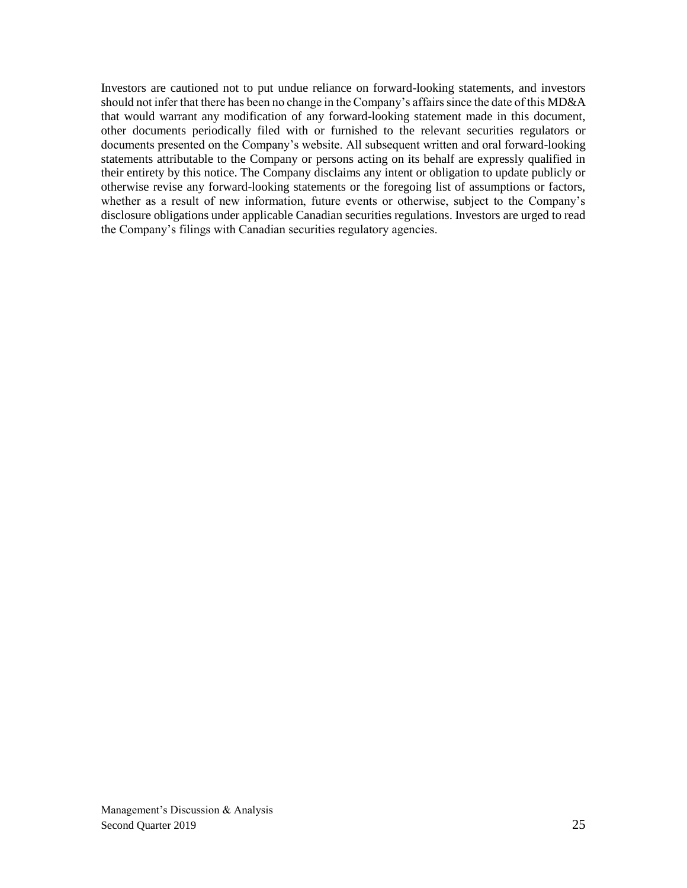Investors are cautioned not to put undue reliance on forward-looking statements, and investors should not infer that there has been no change in the Company's affairs since the date of this MD&A that would warrant any modification of any forward-looking statement made in this document, other documents periodically filed with or furnished to the relevant securities regulators or documents presented on the Company's website. All subsequent written and oral forward-looking statements attributable to the Company or persons acting on its behalf are expressly qualified in their entirety by this notice. The Company disclaims any intent or obligation to update publicly or otherwise revise any forward-looking statements or the foregoing list of assumptions or factors, whether as a result of new information, future events or otherwise, subject to the Company's disclosure obligations under applicable Canadian securities regulations. Investors are urged to read the Company's filings with Canadian securities regulatory agencies.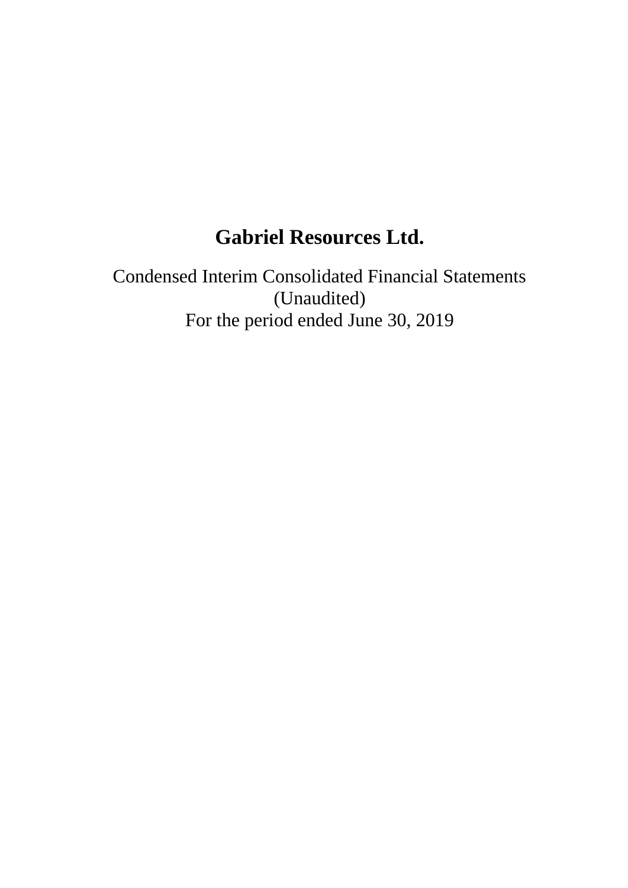# **Gabriel Resources Ltd.**

Condensed Interim Consolidated Financial Statements (Unaudited) For the period ended June 30, 2019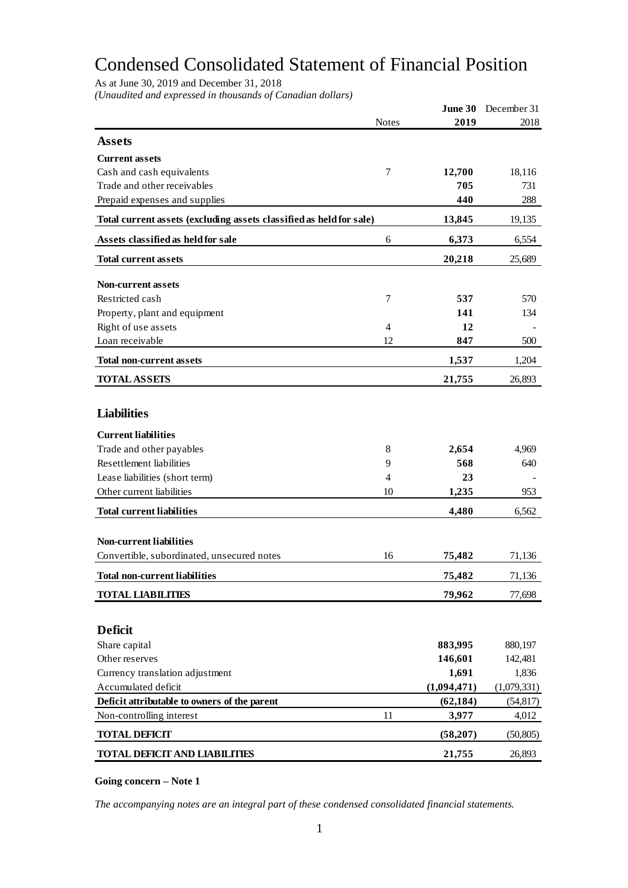# Condensed Consolidated Statement of Financial Position

As at June 30, 2019 and December 31, 2018

*(Unaudited and expressed in thousands of Canadian dollars)*

|                                                                              |                | June 30     | December 31 |
|------------------------------------------------------------------------------|----------------|-------------|-------------|
|                                                                              | <b>Notes</b>   | 2019        | 2018        |
| <b>Assets</b>                                                                |                |             |             |
| <b>Current assets</b>                                                        |                |             |             |
| Cash and cash equivalents                                                    | 7              | 12,700      | 18,116      |
| Trade and other receivables                                                  |                | 705         | 731         |
| Prepaid expenses and supplies                                                |                | 440         | 288         |
|                                                                              |                |             |             |
| Total current assets (excluding assets classified as held for sale)          |                | 13,845      | 19,135      |
| Assets classified as held for sale                                           | 6              | 6,373       | 6,554       |
| <b>Total current assets</b>                                                  |                | 20,218      | 25,689      |
| <b>Non-current assets</b>                                                    |                |             |             |
| Restricted cash                                                              | 7              | 537         | 570         |
| Property, plant and equipment                                                |                | 141         | 134         |
| Right of use assets                                                          | $\overline{4}$ | 12          |             |
| Loan receivable                                                              | 12             | 847         | 500         |
| <b>Total non-current assets</b>                                              |                | 1,537       | 1,204       |
| <b>TOTAL ASSETS</b>                                                          |                | 21,755      | 26,893      |
|                                                                              |                |             |             |
| <b>Liabilities</b>                                                           |                |             |             |
| <b>Current liabilities</b>                                                   |                |             |             |
| Trade and other payables                                                     | 8              | 2,654       | 4,969       |
| <b>Resettlement liabilities</b>                                              | 9              | 568         | 640         |
| Lease liabilities (short term)                                               | $\overline{4}$ | 23          |             |
| Other current liabilities                                                    | 10             | 1,235       | 953         |
| <b>Total current liabilities</b>                                             |                | 4,480       | 6,562       |
|                                                                              |                |             |             |
| <b>Non-current liabilities</b><br>Convertible, subordinated, unsecured notes | 16             |             |             |
|                                                                              |                | 75,482      | 71,136      |
| <b>Total non-current liabilities</b>                                         |                | 75,482      | 71,136      |
| <b>TOTAL LIABILITIES</b>                                                     |                | 79,962      | 77,698      |
|                                                                              |                |             |             |
| <b>Deficit</b>                                                               |                |             |             |
| Share capital                                                                |                | 883,995     | 880,197     |
| Other reserves                                                               |                | 146,601     | 142,481     |
| Currency translation adjustment                                              |                | 1,691       | 1,836       |
| Accumulated deficit                                                          |                | (1,094,471) | (1,079,331) |
| Deficit attributable to owners of the parent                                 |                | (62, 184)   | (54, 817)   |
| Non-controlling interest                                                     | 11             | 3,977       | 4,012       |
| <b>TOTAL DEFICIT</b>                                                         |                | (58,207)    | (50, 805)   |
| <b>TOTAL DEFICIT AND LIABILITIES</b>                                         |                | 21,755      | 26,893      |
|                                                                              |                |             |             |

#### **Going concern – Note 1**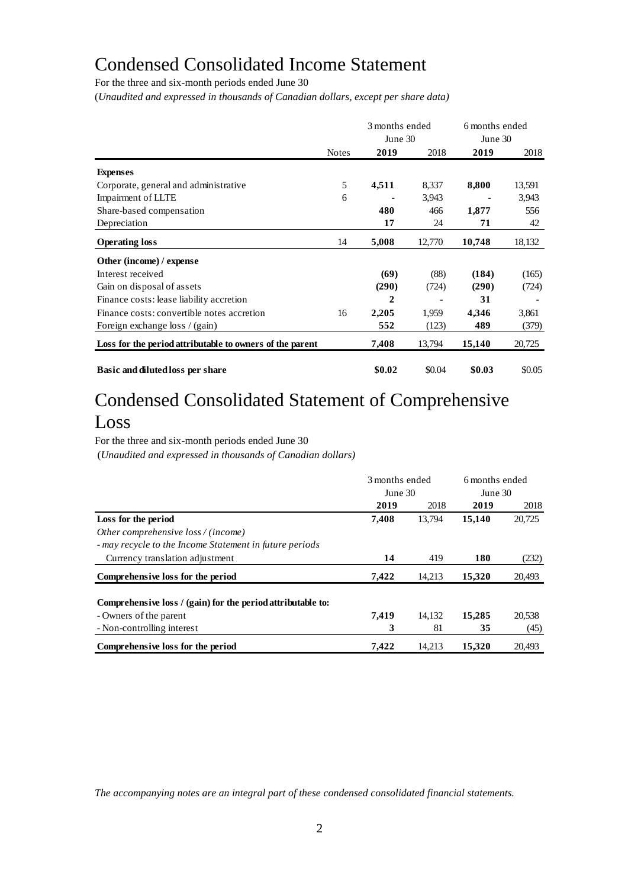# Condensed Consolidated Income Statement

For the three and six-month periods ended June 30

(*Unaudited and expressed in thousands of Canadian dollars, except per share data)*

|                                                          |              | 3 months ended<br>June 30 |        | 6 months ended<br>June 30 |        |
|----------------------------------------------------------|--------------|---------------------------|--------|---------------------------|--------|
|                                                          | <b>Notes</b> | 2019                      | 2018   | 2019                      | 2018   |
| <b>Expenses</b>                                          |              |                           |        |                           |        |
| Corporate, general and administrative                    | 5            | 4,511                     | 8,337  | 8,800                     | 13,591 |
| Impairment of LLTE                                       | 6            |                           | 3,943  |                           | 3,943  |
| Share-based compensation                                 |              | 480                       | 466    | 1,877                     | 556    |
| Depreciation                                             |              | 17                        | 24     | 71                        | 42     |
| <b>Operating loss</b>                                    | 14           | 5,008                     | 12,770 | 10,748                    | 18,132 |
| Other (income) / expense                                 |              |                           |        |                           |        |
| Interest received                                        |              | (69)                      | (88)   | (184)                     | (165)  |
| Gain on disposal of assets                               |              | (290)                     | (724)  | (290)                     | (724)  |
| Finance costs: lease liability accretion                 |              | 2                         |        | 31                        |        |
| Finance costs: convertible notes accretion               | 16           | 2,205                     | 1,959  | 4,346                     | 3,861  |
| Foreign exchange loss / (gain)                           |              | 552                       | (123)  | 489                       | (379)  |
| Loss for the period attributable to owners of the parent |              | 7,408                     | 13,794 | 15,140                    | 20,725 |
| Basic and diluted loss per share                         |              | \$0.02                    | \$0.04 | \$0.03                    | \$0.05 |

# Condensed Consolidated Statement of Comprehensive Loss

For the three and six-month periods ended June 30

(*Unaudited and expressed in thousands of Canadian dollars)*

|                                                             | 3 months ended |        | 6 months ended |        |
|-------------------------------------------------------------|----------------|--------|----------------|--------|
|                                                             | June 30        |        | June 30        |        |
|                                                             | 2019           | 2018   | 2019           | 2018   |
| Loss for the period                                         | 7,408          | 13.794 | 15,140         | 20,725 |
| Other comprehensive loss / (income)                         |                |        |                |        |
| - may recycle to the Income Statement in future periods     |                |        |                |        |
| Currency translation adjustment                             | 14             | 419    | 180            | (232)  |
| Comprehensive loss for the period                           | 7,422          | 14.213 | 15,320         | 20,493 |
| Comprehensive loss / (gain) for the period attributable to: |                |        |                |        |
| - Owners of the parent                                      | 7,419          | 14.132 | 15,285         | 20,538 |
| - Non-controlling interest                                  | 3              | 81     | 35             | (45)   |
| Comprehensive loss for the period                           | 7.422          | 14.213 | 15.320         | 20.493 |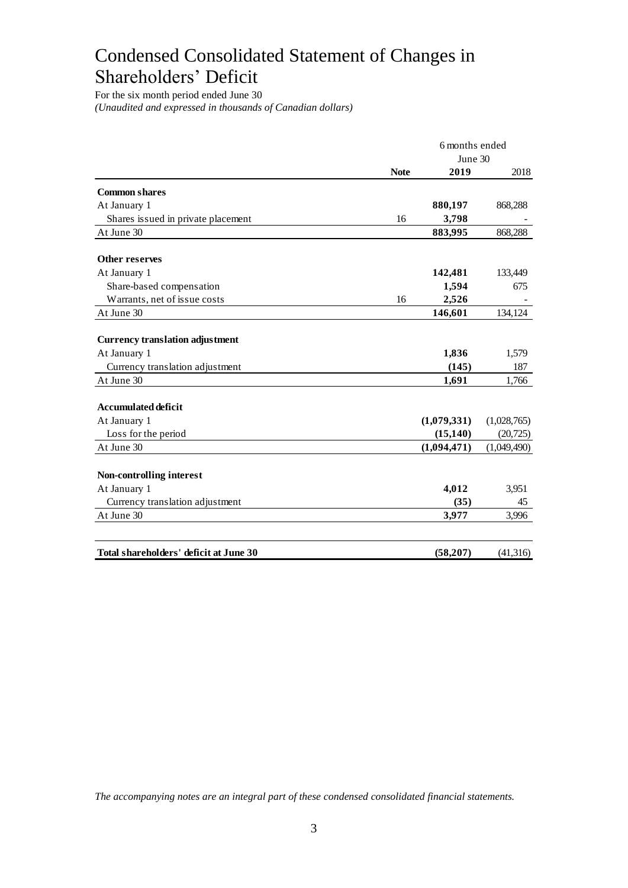# Condensed Consolidated Statement of Changes in Shareholders' Deficit

For the six month period ended June 30 *(Unaudited and expressed in thousands of Canadian dollars)*

|                                        |             | 6 months ended |             |  |
|----------------------------------------|-------------|----------------|-------------|--|
|                                        | June 30     |                |             |  |
|                                        | <b>Note</b> | 2019           | 2018        |  |
| <b>Common shares</b>                   |             |                |             |  |
| At January 1                           |             | 880,197        | 868,288     |  |
| Shares issued in private placement     | 16          | 3,798          |             |  |
| At June 30                             |             | 883,995        | 868,288     |  |
| Other reserves                         |             |                |             |  |
| At January 1                           |             | 142,481        | 133,449     |  |
| Share-based compensation               |             | 1,594          | 675         |  |
| Warrants, net of issue costs           | 16          | 2,526          |             |  |
| At June 30                             |             | 146,601        | 134,124     |  |
|                                        |             |                |             |  |
| <b>Currency translation adjustment</b> |             |                |             |  |
| At January 1                           |             | 1,836          | 1,579       |  |
| Currency translation adjustment        |             | (145)          | 187         |  |
| At June 30                             |             | 1,691          | 1,766       |  |
| <b>Accumulated deficit</b>             |             |                |             |  |
| At January 1                           |             | (1,079,331)    | (1,028,765) |  |
| Loss for the period                    |             | (15, 140)      | (20, 725)   |  |
| At June 30                             |             | (1,094,471)    | (1,049,490) |  |
|                                        |             |                |             |  |
| Non-controlling interest               |             |                |             |  |
| At January 1                           |             | 4,012          | 3,951       |  |
| Currency translation adjustment        |             | (35)           | 45          |  |
| At June 30                             |             | 3,977          | 3,996       |  |
|                                        |             |                |             |  |
| Total shareholders' deficit at June 30 |             | (58,207)       | (41, 316)   |  |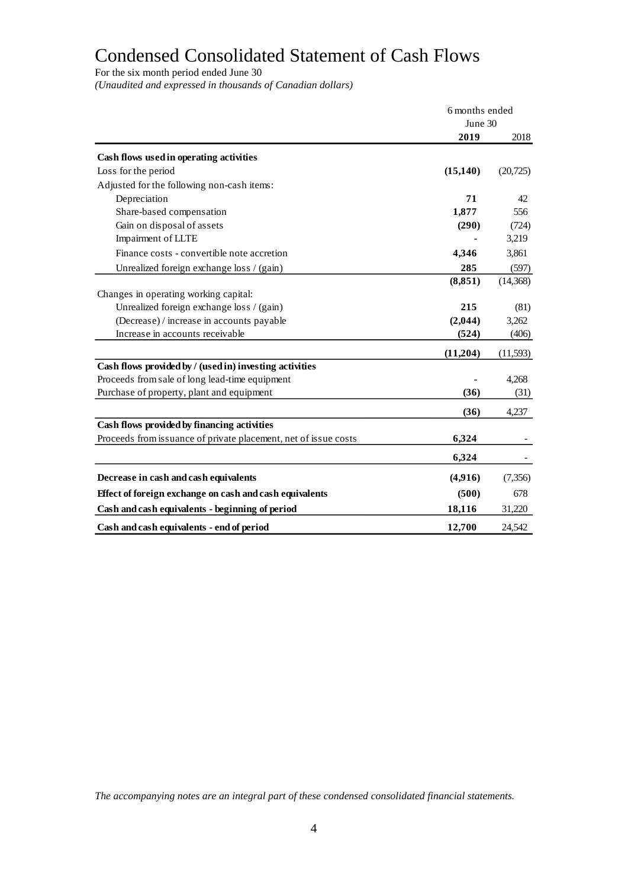# Condensed Consolidated Statement of Cash Flows

For the six month period ended June 30

*(Unaudited and expressed in thousands of Canadian dollars)*

|                                                                 | 6 months ended |           |
|-----------------------------------------------------------------|----------------|-----------|
|                                                                 | June 30        |           |
|                                                                 | 2019           | 2018      |
| Cash flows used in operating activities                         |                |           |
| Loss for the period                                             | (15, 140)      | (20, 725) |
| Adjusted for the following non-cash items:                      |                |           |
| Depreciation                                                    | 71             | 42        |
| Share-based compensation                                        | 1,877          | 556       |
| Gain on disposal of assets                                      | (290)          | (724)     |
| Impairment of LLTE                                              |                | 3,219     |
| Finance costs - convertible note accretion                      | 4,346          | 3,861     |
| Unrealized foreign exchange loss / (gain)                       | 285            | (597)     |
|                                                                 | (8, 851)       | (14,368)  |
| Changes in operating working capital:                           |                |           |
| Unrealized foreign exchange loss / (gain)                       | 215            | (81)      |
| (Decrease) / increase in accounts payable                       | (2,044)        | 3,262     |
| Increase in accounts receivable                                 | (524)          | (406)     |
|                                                                 | (11,204)       | (11,593)  |
| Cash flows provided by / (used in) investing activities         |                |           |
| Proceeds from sale of long lead-time equipment                  |                | 4,268     |
| Purchase of property, plant and equipment                       | (36)           | (31)      |
|                                                                 | (36)           | 4,237     |
| Cash flows provided by financing activities                     |                |           |
| Proceeds from issuance of private placement, net of issue costs | 6,324          |           |
|                                                                 | 6,324          |           |
| Decrease in cash and cash equivalents                           | (4,916)        | (7, 356)  |
| Effect of foreign exchange on cash and cash equivalents         | (500)          | 678       |
| Cash and cash equivalents - beginning of period                 | 18,116         | 31,220    |
|                                                                 |                |           |
| Cash and cash equivalents - end of period                       | 12,700         | 24.542    |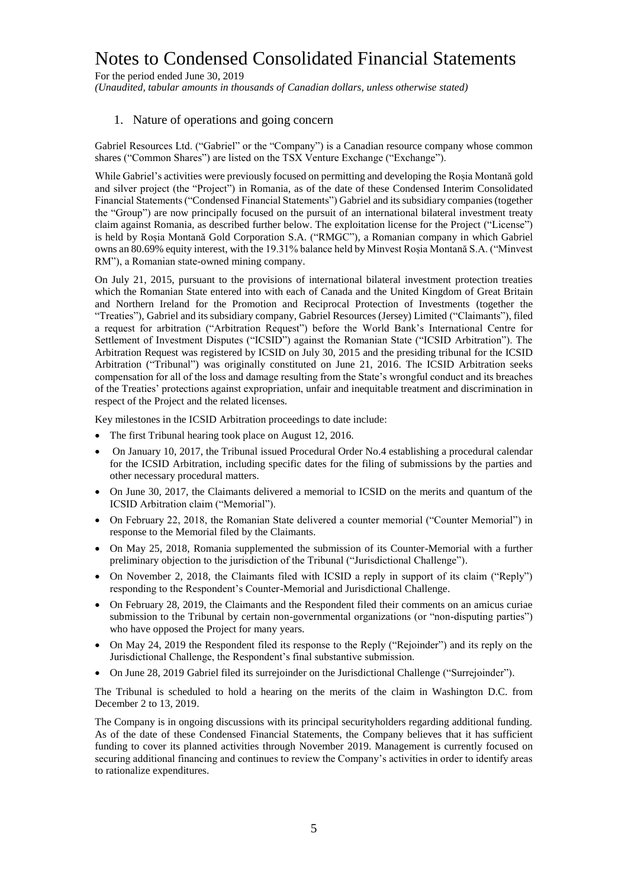For the period ended June 30, 2019 *(Unaudited, tabular amounts in thousands of Canadian dollars, unless otherwise stated)*

### 1. Nature of operations and going concern

Gabriel Resources Ltd. ("Gabriel" or the "Company") is a Canadian resource company whose common shares ("Common Shares") are listed on the TSX Venture Exchange ("Exchange").

While Gabriel's activities were previously focused on permitting and developing the Roșia Montană gold and silver project (the "Project") in Romania, as of the date of these Condensed Interim Consolidated Financial Statements ("Condensed Financial Statements") Gabriel and its subsidiary companies (together the "Group") are now principally focused on the pursuit of an international bilateral investment treaty claim against Romania, as described further below. The exploitation license for the Project ("License") is held by Roșia Montană Gold Corporation S.A. ("RMGC"), a Romanian company in which Gabriel owns an 80.69% equity interest, with the 19.31% balance held by Minvest Roșia Montană S.A. ("Minvest RM"), a Romanian state-owned mining company.

On July 21, 2015, pursuant to the provisions of international bilateral investment protection treaties which the Romanian State entered into with each of Canada and the United Kingdom of Great Britain and Northern Ireland for the Promotion and Reciprocal Protection of Investments (together the "Treaties"), Gabriel and its subsidiary company, Gabriel Resources (Jersey) Limited ("Claimants"), filed a request for arbitration ("Arbitration Request") before the World Bank's International Centre for Settlement of Investment Disputes ("ICSID") against the Romanian State ("ICSID Arbitration"). The Arbitration Request was registered by ICSID on July 30, 2015 and the presiding tribunal for the ICSID Arbitration ("Tribunal") was originally constituted on June 21, 2016. The ICSID Arbitration seeks compensation for all of the loss and damage resulting from the State's wrongful conduct and its breaches of the Treaties' protections against expropriation, unfair and inequitable treatment and discrimination in respect of the Project and the related licenses.

Key milestones in the ICSID Arbitration proceedings to date include:

- The first Tribunal hearing took place on August 12, 2016.
- On January 10, 2017, the Tribunal issued Procedural Order No.4 establishing a procedural calendar for the ICSID Arbitration, including specific dates for the filing of submissions by the parties and other necessary procedural matters.
- On June 30, 2017, the Claimants delivered a memorial to ICSID on the merits and quantum of the ICSID Arbitration claim ("Memorial").
- On February 22, 2018, the Romanian State delivered a counter memorial ("Counter Memorial") in response to the Memorial filed by the Claimants.
- On May 25, 2018, Romania supplemented the submission of its Counter-Memorial with a further preliminary objection to the jurisdiction of the Tribunal ("Jurisdictional Challenge").
- On November 2, 2018, the Claimants filed with ICSID a reply in support of its claim ("Reply") responding to the Respondent's Counter-Memorial and Jurisdictional Challenge.
- On February 28, 2019, the Claimants and the Respondent filed their comments on an amicus curiae submission to the Tribunal by certain non-governmental organizations (or "non-disputing parties") who have opposed the Project for many years.
- On May 24, 2019 the Respondent filed its response to the Reply ("Rejoinder") and its reply on the Jurisdictional Challenge, the Respondent's final substantive submission.
- On June 28, 2019 Gabriel filed its surrejoinder on the Jurisdictional Challenge ("Surrejoinder").

The Tribunal is scheduled to hold a hearing on the merits of the claim in Washington D.C. from December 2 to 13, 2019.

The Company is in ongoing discussions with its principal securityholders regarding additional funding. As of the date of these Condensed Financial Statements, the Company believes that it has sufficient funding to cover its planned activities through November 2019. Management is currently focused on securing additional financing and continues to review the Company's activities in order to identify areas to rationalize expenditures.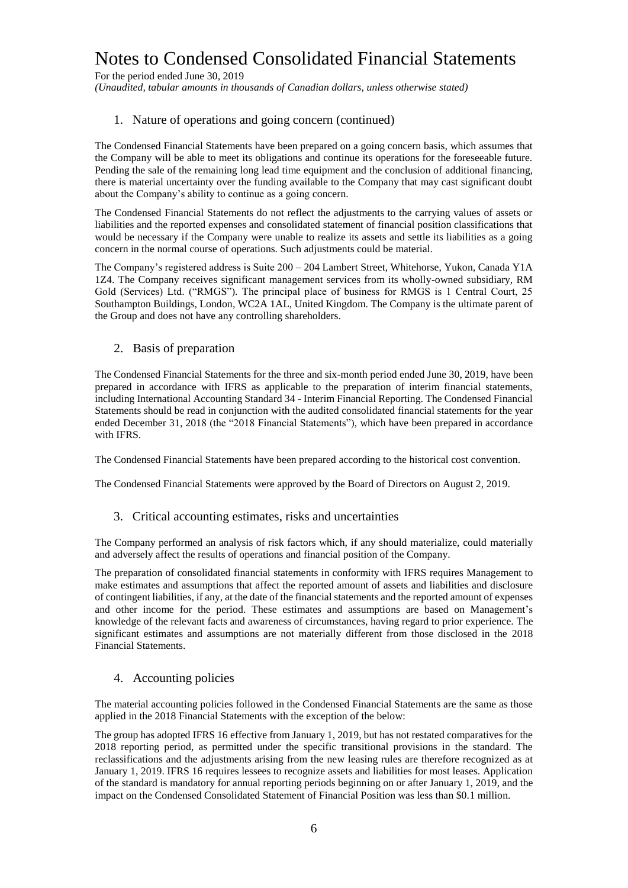For the period ended June 30, 2019 *(Unaudited, tabular amounts in thousands of Canadian dollars, unless otherwise stated)*

### 1. Nature of operations and going concern (continued)

The Condensed Financial Statements have been prepared on a going concern basis, which assumes that the Company will be able to meet its obligations and continue its operations for the foreseeable future. Pending the sale of the remaining long lead time equipment and the conclusion of additional financing, there is material uncertainty over the funding available to the Company that may cast significant doubt about the Company's ability to continue as a going concern.

The Condensed Financial Statements do not reflect the adjustments to the carrying values of assets or liabilities and the reported expenses and consolidated statement of financial position classifications that would be necessary if the Company were unable to realize its assets and settle its liabilities as a going concern in the normal course of operations. Such adjustments could be material.

The Company's registered address is Suite 200 – 204 Lambert Street, Whitehorse, Yukon, Canada Y1A 1Z4. The Company receives significant management services from its wholly-owned subsidiary, RM Gold (Services) Ltd. ("RMGS"). The principal place of business for RMGS is 1 Central Court, 25 Southampton Buildings, London, WC2A 1AL, United Kingdom. The Company is the ultimate parent of the Group and does not have any controlling shareholders.

#### 2. Basis of preparation

The Condensed Financial Statements for the three and six-month period ended June 30, 2019, have been prepared in accordance with IFRS as applicable to the preparation of interim financial statements, including International Accounting Standard 34 - Interim Financial Reporting. The Condensed Financial Statements should be read in conjunction with the audited consolidated financial statements for the year ended December 31, 2018 (the "2018 Financial Statements"), which have been prepared in accordance with IFRS.

The Condensed Financial Statements have been prepared according to the historical cost convention.

The Condensed Financial Statements were approved by the Board of Directors on August 2, 2019.

#### 3. Critical accounting estimates, risks and uncertainties

The Company performed an analysis of risk factors which, if any should materialize, could materially and adversely affect the results of operations and financial position of the Company.

The preparation of consolidated financial statements in conformity with IFRS requires Management to make estimates and assumptions that affect the reported amount of assets and liabilities and disclosure of contingent liabilities, if any, at the date of the financial statements and the reported amount of expenses and other income for the period. These estimates and assumptions are based on Management's knowledge of the relevant facts and awareness of circumstances, having regard to prior experience. The significant estimates and assumptions are not materially different from those disclosed in the 2018 Financial Statements.

#### 4. Accounting policies

The material accounting policies followed in the Condensed Financial Statements are the same as those applied in the 2018 Financial Statements with the exception of the below:

The group has adopted IFRS 16 effective from January 1, 2019, but has not restated comparatives for the 2018 reporting period, as permitted under the specific transitional provisions in the standard. The reclassifications and the adjustments arising from the new leasing rules are therefore recognized as at January 1, 2019. IFRS 16 requires lessees to recognize assets and liabilities for most leases. Application of the standard is mandatory for annual reporting periods beginning on or after January 1, 2019, and the impact on the Condensed Consolidated Statement of Financial Position was less than \$0.1 million.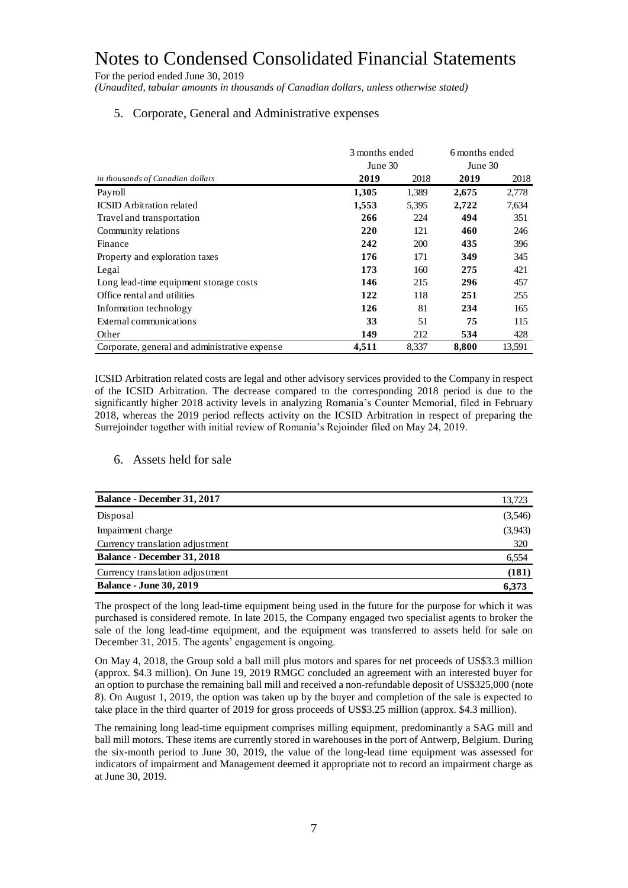For the period ended June 30, 2019

*(Unaudited, tabular amounts in thousands of Canadian dollars, unless otherwise stated)*

### 5. Corporate, General and Administrative expenses

|                                               | 3 months ended |            | 6 months ended |        |
|-----------------------------------------------|----------------|------------|----------------|--------|
|                                               | June 30        | June 30    |                |        |
| in thousands of Canadian dollars              | 2019           | 2018       | 2019           | 2018   |
| Payroll                                       | 1,305          | 1,389      | 2,675          | 2,778  |
| <b>ICSID</b> Arbitration related              | 1,553          | 5,395      | 2,722          | 7,634  |
| Travel and transportation                     | 266            | 224        | 494            | 351    |
| Community relations                           | 220            | 121        | 460            | 246    |
| Finance                                       | 242            | <b>200</b> | 435            | 396    |
| Property and exploration taxes                | 176            | 171        | 349            | 345    |
| Legal                                         | 173            | 160        | 275            | 421    |
| Long lead-time equipment storage costs        | 146            | 215        | 296            | 457    |
| Office rental and utilities                   | 122            | 118        | 251            | 255    |
| Information technology                        | 126            | 81         | 234            | 165    |
| External communications                       | 33             | 51         | 75             | 115    |
| Other                                         | 149            | 212        | 534            | 428    |
| Corporate, general and administrative expense | 4,511          | 8,337      | 8,800          | 13,591 |

ICSID Arbitration related costs are legal and other advisory services provided to the Company in respect of the ICSID Arbitration. The decrease compared to the corresponding 2018 period is due to the significantly higher 2018 activity levels in analyzing Romania's Counter Memorial, filed in February 2018, whereas the 2019 period reflects activity on the ICSID Arbitration in respect of preparing the Surrejoinder together with initial review of Romania's Rejoinder filed on May 24, 2019.

#### 6. Assets held for sale

| <b>Balance - December 31, 2017</b> | 13,723  |
|------------------------------------|---------|
| Disposal                           | (3,546) |
| Impairment charge                  | (3,943) |
| Currency translation adjustment    | 320     |
| <b>Balance - December 31, 2018</b> | 6,554   |
| Currency translation adjustment    | (181)   |
| <b>Balance - June 30, 2019</b>     | 6,373   |

The prospect of the long lead-time equipment being used in the future for the purpose for which it was purchased is considered remote. In late 2015, the Company engaged two specialist agents to broker the sale of the long lead-time equipment, and the equipment was transferred to assets held for sale on December 31, 2015. The agents' engagement is ongoing.

On May 4, 2018, the Group sold a ball mill plus motors and spares for net proceeds of US\$3.3 million (approx. \$4.3 million). On June 19, 2019 RMGC concluded an agreement with an interested buyer for an option to purchase the remaining ball mill and received a non-refundable deposit of US\$325,000 (note 8). On August 1, 2019, the option was taken up by the buyer and completion of the sale is expected to take place in the third quarter of 2019 for gross proceeds of US\$3.25 million (approx. \$4.3 million).

The remaining long lead-time equipment comprises milling equipment, predominantly a SAG mill and ball mill motors. These items are currently stored in warehouses in the port of Antwerp, Belgium. During the six-month period to June 30, 2019, the value of the long-lead time equipment was assessed for indicators of impairment and Management deemed it appropriate not to record an impairment charge as at June 30, 2019.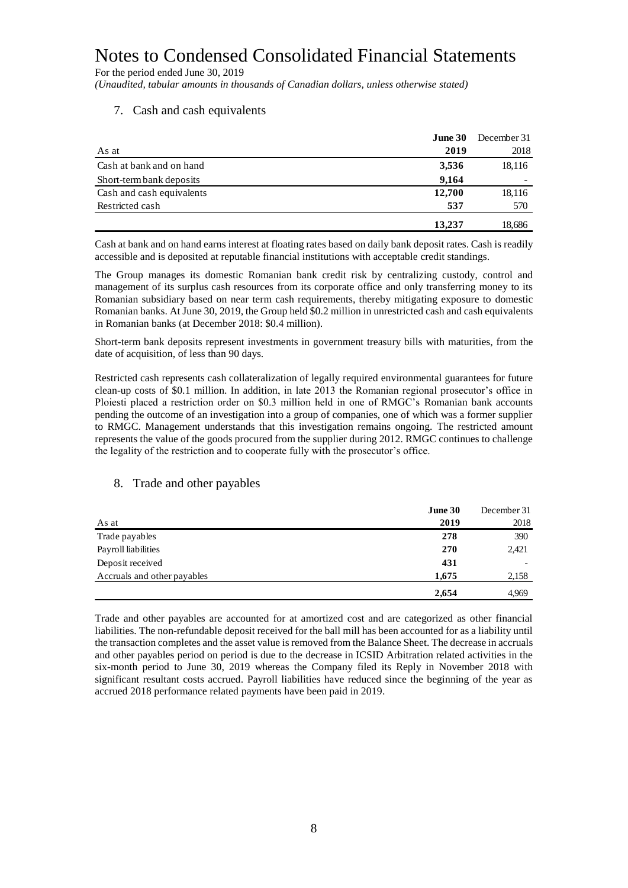For the period ended June 30, 2019

*(Unaudited, tabular amounts in thousands of Canadian dollars, unless otherwise stated)*

#### 7. Cash and cash equivalents

|                           | June 30 | December 31 |
|---------------------------|---------|-------------|
| As at                     | 2019    | 2018        |
| Cash at bank and on hand  | 3,536   | 18,116      |
| Short-term bank deposits  | 9.164   |             |
| Cash and cash equivalents | 12,700  | 18,116      |
| Restricted cash           | 537     | 570         |
|                           | 13,237  | 18,686      |

Cash at bank and on hand earns interest at floating rates based on daily bank deposit rates. Cash is readily accessible and is deposited at reputable financial institutions with acceptable credit standings.

The Group manages its domestic Romanian bank credit risk by centralizing custody, control and management of its surplus cash resources from its corporate office and only transferring money to its Romanian subsidiary based on near term cash requirements, thereby mitigating exposure to domestic Romanian banks. At June 30, 2019, the Group held \$0.2 million in unrestricted cash and cash equivalents in Romanian banks (at December 2018: \$0.4 million).

Short-term bank deposits represent investments in government treasury bills with maturities, from the date of acquisition, of less than 90 days.

Restricted cash represents cash collateralization of legally required environmental guarantees for future clean-up costs of \$0.1 million. In addition, in late 2013 the Romanian regional prosecutor's office in Ploiesti placed a restriction order on \$0.3 million held in one of RMGC's Romanian bank accounts pending the outcome of an investigation into a group of companies, one of which was a former supplier to RMGC. Management understands that this investigation remains ongoing. The restricted amount represents the value of the goods procured from the supplier during 2012. RMGC continues to challenge the legality of the restriction and to cooperate fully with the prosecutor's office.

#### 8. Trade and other payables

|                             | June 30 | December 31 |
|-----------------------------|---------|-------------|
| As at                       | 2019    | 2018        |
| Trade payables              | 278     | 390         |
| Payroll liabilities         | 270     | 2,421       |
| Deposit received            | 431     |             |
| Accruals and other payables | 1,675   | 2,158       |
|                             | 2,654   | 4,969       |

Trade and other payables are accounted for at amortized cost and are categorized as other financial liabilities. The non-refundable deposit received for the ball mill has been accounted for as a liability until the transaction completes and the asset value is removed from the Balance Sheet. The decrease in accruals and other payables period on period is due to the decrease in ICSID Arbitration related activities in the six-month period to June 30, 2019 whereas the Company filed its Reply in November 2018 with significant resultant costs accrued. Payroll liabilities have reduced since the beginning of the year as accrued 2018 performance related payments have been paid in 2019.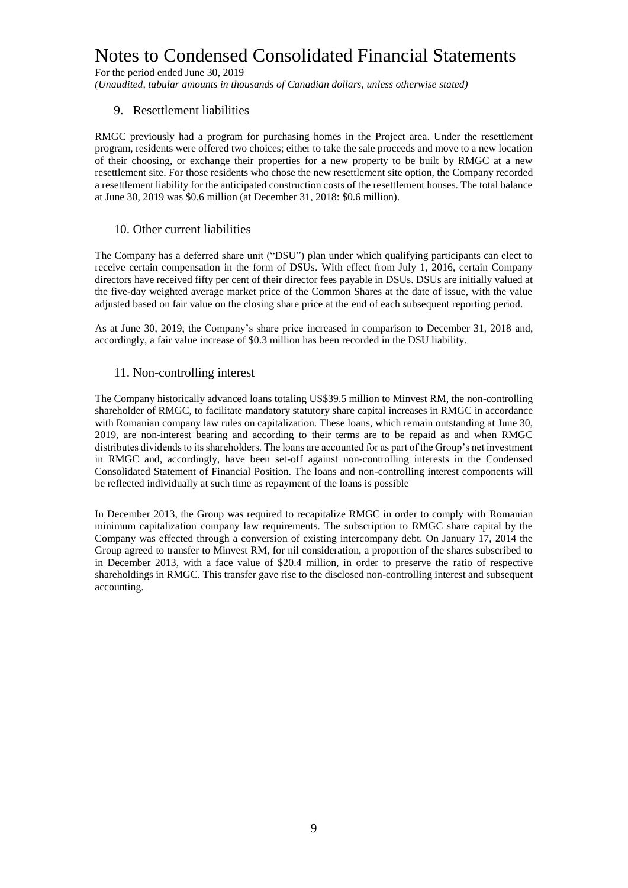For the period ended June 30, 2019

*(Unaudited, tabular amounts in thousands of Canadian dollars, unless otherwise stated)*

#### 9. Resettlement liabilities

RMGC previously had a program for purchasing homes in the Project area. Under the resettlement program, residents were offered two choices; either to take the sale proceeds and move to a new location of their choosing, or exchange their properties for a new property to be built by RMGC at a new resettlement site. For those residents who chose the new resettlement site option, the Company recorded a resettlement liability for the anticipated construction costs of the resettlement houses. The total balance at June 30, 2019 was \$0.6 million (at December 31, 2018: \$0.6 million).

#### 10. Other current liabilities

The Company has a deferred share unit ("DSU") plan under which qualifying participants can elect to receive certain compensation in the form of DSUs. With effect from July 1, 2016, certain Company directors have received fifty per cent of their director fees payable in DSUs. DSUs are initially valued at the five-day weighted average market price of the Common Shares at the date of issue, with the value adjusted based on fair value on the closing share price at the end of each subsequent reporting period.

As at June 30, 2019, the Company's share price increased in comparison to December 31, 2018 and, accordingly, a fair value increase of \$0.3 million has been recorded in the DSU liability.

#### 11. Non-controlling interest

The Company historically advanced loans totaling US\$39.5 million to Minvest RM, the non-controlling shareholder of RMGC, to facilitate mandatory statutory share capital increases in RMGC in accordance with Romanian company law rules on capitalization. These loans, which remain outstanding at June 30, 2019, are non-interest bearing and according to their terms are to be repaid as and when RMGC distributes dividends to its shareholders. The loans are accounted for as part of the Group's net investment in RMGC and, accordingly, have been set-off against non-controlling interests in the Condensed Consolidated Statement of Financial Position. The loans and non-controlling interest components will be reflected individually at such time as repayment of the loans is possible

In December 2013, the Group was required to recapitalize RMGC in order to comply with Romanian minimum capitalization company law requirements. The subscription to RMGC share capital by the Company was effected through a conversion of existing intercompany debt. On January 17, 2014 the Group agreed to transfer to Minvest RM, for nil consideration, a proportion of the shares subscribed to in December 2013, with a face value of \$20.4 million, in order to preserve the ratio of respective shareholdings in RMGC. This transfer gave rise to the disclosed non-controlling interest and subsequent accounting.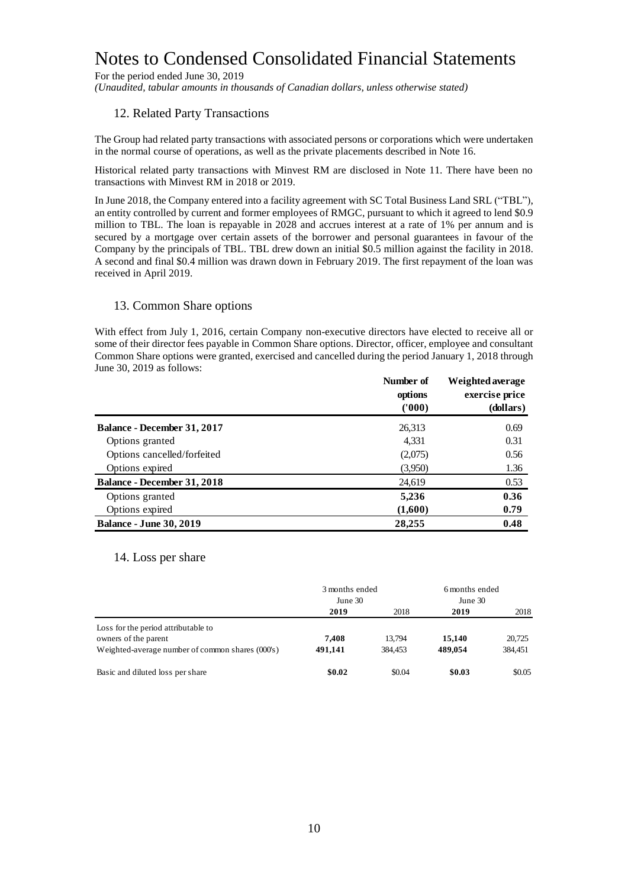For the period ended June 30, 2019

*(Unaudited, tabular amounts in thousands of Canadian dollars, unless otherwise stated)*

### 12. Related Party Transactions

The Group had related party transactions with associated persons or corporations which were undertaken in the normal course of operations, as well as the private placements described in Note 16.

Historical related party transactions with Minvest RM are disclosed in Note 11. There have been no transactions with Minvest RM in 2018 or 2019.

In June 2018, the Company entered into a facility agreement with SC Total Business Land SRL ("TBL"), an entity controlled by current and former employees of RMGC, pursuant to which it agreed to lend \$0.9 million to TBL. The loan is repayable in 2028 and accrues interest at a rate of 1% per annum and is secured by a mortgage over certain assets of the borrower and personal guarantees in favour of the Company by the principals of TBL. TBL drew down an initial \$0.5 million against the facility in 2018. A second and final \$0.4 million was drawn down in February 2019. The first repayment of the loan was received in April 2019.

#### 13. Common Share options

With effect from July 1, 2016, certain Company non-executive directors have elected to receive all or some of their director fees payable in Common Share options. Director, officer, employee and consultant Common Share options were granted, exercised and cancelled during the period January 1, 2018 through June 30, 2019 as follows:

|                                    | Number of<br>options<br>(1000) | Weighted average<br>exercise price<br>(dollars) |
|------------------------------------|--------------------------------|-------------------------------------------------|
| <b>Balance - December 31, 2017</b> | 26,313                         | 0.69                                            |
| Options granted                    | 4,331                          | 0.31                                            |
| Options cancelled/forfeited        | (2,075)                        | 0.56                                            |
| Options expired                    | (3,950)                        | 1.36                                            |
| <b>Balance - December 31, 2018</b> | 24,619                         | 0.53                                            |
| Options granted                    | 5,236                          | 0.36                                            |
| Options expired                    | (1,600)                        | 0.79                                            |
| <b>Balance - June 30, 2019</b>     | 28,255                         | 0.48                                            |

#### 14. Loss per share

|                                                  | 3 months ended<br>June 30 |         | 6 months ended<br>June 30 |         |
|--------------------------------------------------|---------------------------|---------|---------------------------|---------|
|                                                  | 2019                      | 2018    | 2019                      | 2018    |
| Loss for the period attributable to              |                           |         |                           |         |
| owners of the parent                             | 7.408                     | 13.794  | 15,140                    | 20.725  |
| Weighted-average number of common shares (000's) | 491.141                   | 384.453 | 489.054                   | 384,451 |
| Basic and diluted loss per share                 | \$0.02                    | \$0.04  | \$0.03                    | \$0.05  |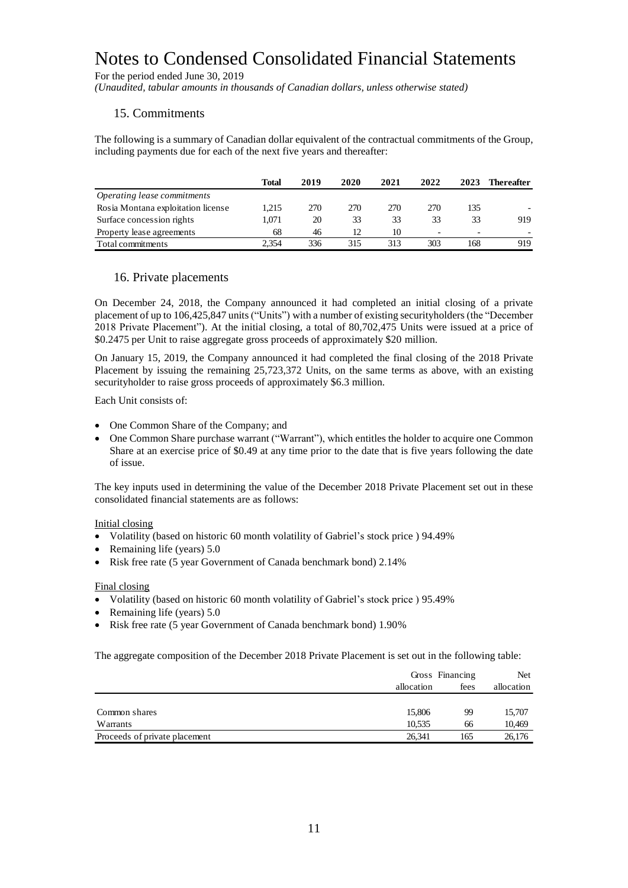For the period ended June 30, 2019

*(Unaudited, tabular amounts in thousands of Canadian dollars, unless otherwise stated)*

#### 15. Commitments

The following is a summary of Canadian dollar equivalent of the contractual commitments of the Group, including payments due for each of the next five years and thereafter:

|                                    | Total | 2019 | 2020 | 2021 | 2022                     | 2023                     | Thereafter |
|------------------------------------|-------|------|------|------|--------------------------|--------------------------|------------|
| Operating lease commitments        |       |      |      |      |                          |                          |            |
| Rosia Montana exploitation license | 1.215 | 270  | 270  | 270  | 270                      | 135                      |            |
| Surface concession rights          | 1.071 | 20   | 33   | 33   | 33                       | 33                       | 919        |
| Property lease agreements          | 68    | 46   |      | 10   | $\overline{\phantom{0}}$ | $\overline{\phantom{0}}$ |            |
| Total commitments                  | 2.354 | 336  | 315  | 313  | 303                      | 168                      | 919        |

#### 16. Private placements

On December 24, 2018, the Company announced it had completed an initial closing of a private placement of up to 106,425,847 units("Units") with a number of existing securityholders (the "December 2018 Private Placement"). At the initial closing, a total of 80,702,475 Units were issued at a price of \$0.2475 per Unit to raise aggregate gross proceeds of approximately \$20 million.

On January 15, 2019, the Company announced it had completed the final closing of the 2018 Private Placement by issuing the remaining 25,723,372 Units, on the same terms as above, with an existing securityholder to raise gross proceeds of approximately \$6.3 million.

Each Unit consists of:

- One Common Share of the Company; and
- One Common Share purchase warrant ("Warrant"), which entitles the holder to acquire one Common Share at an exercise price of \$0.49 at any time prior to the date that is five years following the date of issue.

The key inputs used in determining the value of the December 2018 Private Placement set out in these consolidated financial statements are as follows:

#### Initial closing

- Volatility (based on historic 60 month volatility of Gabriel's stock price ) 94.49%
- Remaining life (years) 5.0
- Risk free rate (5 year Government of Canada benchmark bond) 2.14%

#### Final closing

- Volatility (based on historic 60 month volatility of Gabriel's stock price ) 95.49%
- Remaining life (years) 5.0
- Risk free rate (5 year Government of Canada benchmark bond) 1.90%

The aggregate composition of the December 2018 Private Placement is set out in the following table:

|                               |            | Gross Financing |            |
|-------------------------------|------------|-----------------|------------|
|                               | allocation | fees            | allocation |
|                               |            |                 |            |
| Common shares                 | 15,806     | 99              | 15,707     |
| Warrants                      | 10.535     | 66              | 10,469     |
| Proceeds of private placement | 26.341     | 165             | 26,176     |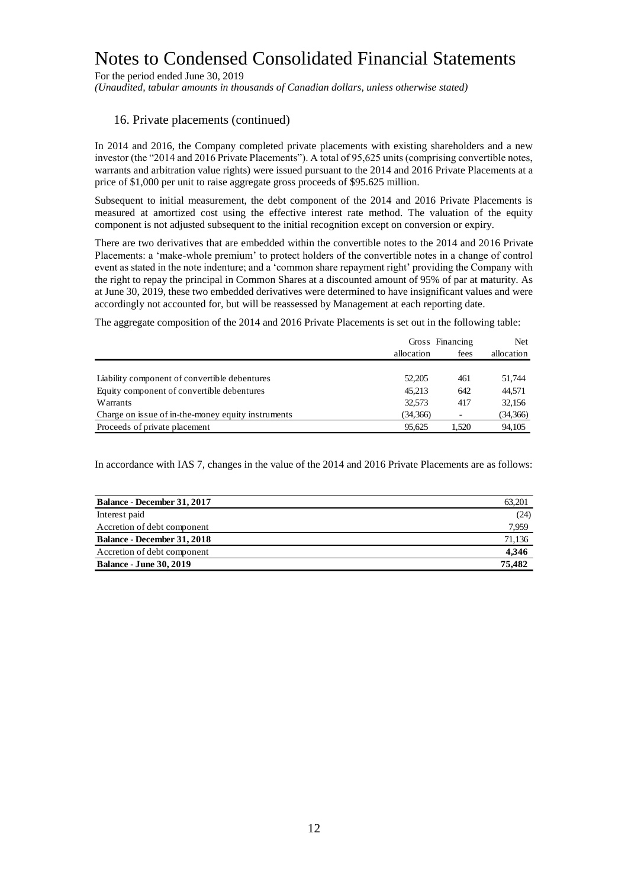For the period ended June 30, 2019

*(Unaudited, tabular amounts in thousands of Canadian dollars, unless otherwise stated)*

#### 16. Private placements (continued)

In 2014 and 2016, the Company completed private placements with existing shareholders and a new investor (the "2014 and 2016 Private Placements"). A total of 95,625 units (comprising convertible notes, warrants and arbitration value rights) were issued pursuant to the 2014 and 2016 Private Placements at a price of \$1,000 per unit to raise aggregate gross proceeds of \$95.625 million.

Subsequent to initial measurement, the debt component of the 2014 and 2016 Private Placements is measured at amortized cost using the effective interest rate method. The valuation of the equity component is not adjusted subsequent to the initial recognition except on conversion or expiry.

There are two derivatives that are embedded within the convertible notes to the 2014 and 2016 Private Placements: a 'make-whole premium' to protect holders of the convertible notes in a change of control event as stated in the note indenture; and a 'common share repayment right' providing the Company with the right to repay the principal in Common Shares at a discounted amount of 95% of par at maturity. As at June 30, 2019, these two embedded derivatives were determined to have insignificant values and were accordingly not accounted for, but will be reassessed by Management at each reporting date.

The aggregate composition of the 2014 and 2016 Private Placements is set out in the following table:

|                                                    | allocation | Gross Financing<br>fees | <b>Net</b><br>allocation |
|----------------------------------------------------|------------|-------------------------|--------------------------|
|                                                    |            |                         |                          |
| Liability component of convertible debentures      | 52,205     | 461                     | 51.744                   |
| Equity component of convertible debentures         | 45.213     | 642                     | 44,571                   |
| Warrants                                           | 32.573     | 417                     | 32,156                   |
| Charge on issue of in-the-money equity instruments | (34,366)   | ۰                       | (34,366)                 |
| Proceeds of private placement                      | 95.625     | 1.520                   | 94,105                   |

In accordance with IAS 7, changes in the value of the 2014 and 2016 Private Placements are as follows:

| Balance - December 31, 2017        | 63.201 |
|------------------------------------|--------|
| Interest paid                      | (24)   |
| Accretion of debt component        | 7.959  |
| <b>Balance - December 31, 2018</b> | 71.136 |
| Accretion of debt component        | 4,346  |
| <b>Balance - June 30, 2019</b>     | 75.482 |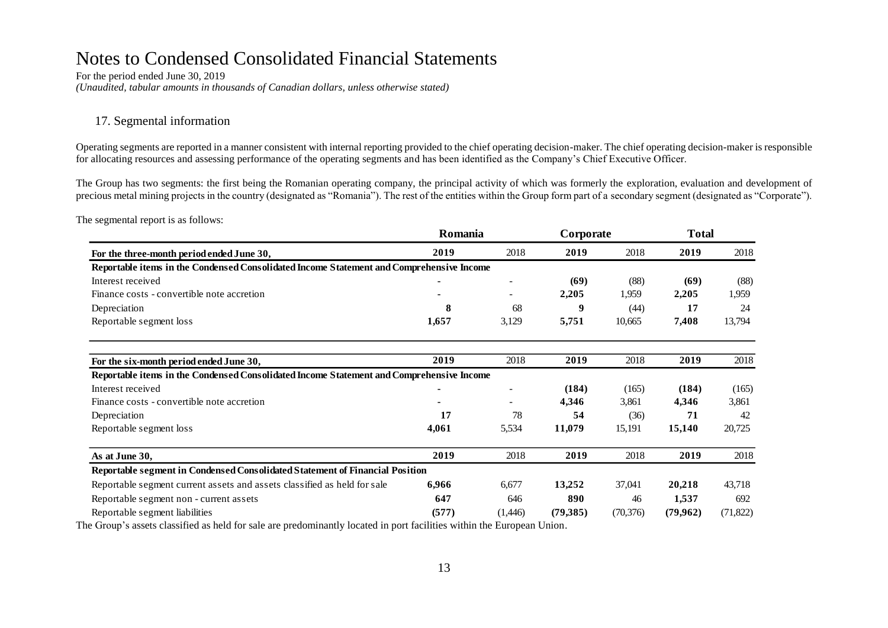For the period ended June 30, 2019 *(Unaudited, tabular amounts in thousands of Canadian dollars, unless otherwise stated)*

### 17. Segmental information

Operating segments are reported in a manner consistent with internal reporting provided to the chief operating decision-maker. The chief operating decision-maker is responsible for allocating resources and assessing performance of the operating segments and has been identified as the Company's Chief Executive Officer.

The Group has two segments: the first being the Romanian operating company, the principal activity of which was formerly the exploration, evaluation and development of precious metal mining projects in the country (designated as "Romania"). The rest of the entities within the Group form part of a secondary segment (designated as "Corporate").

The segmental report is as follows:

| For the three-month period ended June 30,                                                | Romania |         | Corporate |           | <b>Total</b> |           |
|------------------------------------------------------------------------------------------|---------|---------|-----------|-----------|--------------|-----------|
|                                                                                          | 2019    | 2018    | 2019      | 2018      | 2019         | 2018      |
| Reportable items in the Condensed Consolidated Income Statement and Comprehensive Income |         |         |           |           |              |           |
| Interest received                                                                        |         |         | (69)      | (88)      | (69)         | (88)      |
| Finance costs - convertible note accretion                                               |         | $\sim$  | 2,205     | 1,959     | 2,205        | 1,959     |
| Depreciation                                                                             | 8       | 68      | 9         | (44)      | 17           | 24        |
| Reportable segment loss                                                                  | 1,657   | 3,129   | 5,751     | 10,665    | 7,408        | 13,794    |
| For the six-month period ended June 30,                                                  | 2019    | 2018    | 2019      | 2018      | 2019         | 2018      |
| Reportable items in the Condensed Consolidated Income Statement and Comprehensive Income |         |         |           |           |              |           |
| Interest received                                                                        |         |         | (184)     | (165)     | (184)        | (165)     |
| Finance costs - convertible note accretion                                               |         |         | 4,346     | 3,861     | 4,346        | 3,861     |
| Depreciation                                                                             | 17      | 78      | 54        | (36)      | 71           | 42        |
| Reportable segment loss                                                                  | 4,061   | 5,534   | 11,079    | 15,191    | 15,140       | 20,725    |
| As at June 30,                                                                           | 2019    | 2018    | 2019      | 2018      | 2019         | 2018      |
| Reportable segment in Condensed Consolidated Statement of Financial Position             |         |         |           |           |              |           |
| Reportable segment current assets and assets classified as held for sale                 | 6,966   | 6,677   | 13,252    | 37,041    | 20,218       | 43,718    |
| Reportable segment non - current assets                                                  | 647     | 646     | 890       | 46        | 1,537        | 692       |
| Reportable segment liabilities                                                           | (577)   | (1,446) | (79,385)  | (70, 376) | (79,962)     | (71, 822) |

The Group's assets classified as held for sale are predominantly located in port facilities within the European Union.